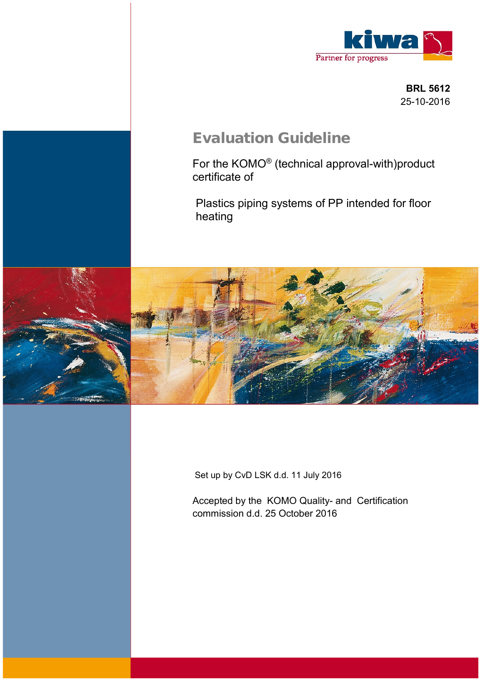

 **BRL 5612** 25-10-2016

# **Evaluation Guideline**

For the KOMO® (technical approval-with)product certificate of

Plastics piping systems of PP intended for floor heating



Set up by CvD LSK d.d. 11 July 2016

Accepted by the KOMO Quality- and Certification commission d.d. 25 October 2016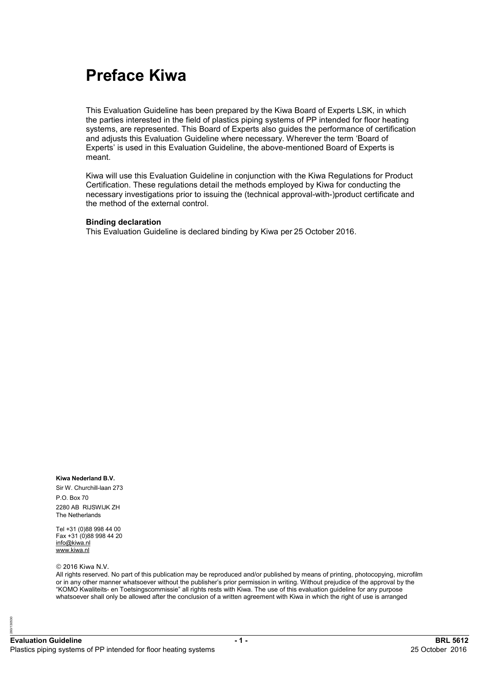# **Preface Kiwa**

This Evaluation Guideline has been prepared by the Kiwa Board of Experts LSK, in which the parties interested in the field of plastics piping systems of PP intended for floor heating systems, are represented. This Board of Experts also guides the performance of certification and adjusts this Evaluation Guideline where necessary. Wherever the term 'Board of Experts' is used in this Evaluation Guideline, the above-mentioned Board of Experts is meant.

Kiwa will use this Evaluation Guideline in conjunction with the Kiwa Regulations for Product Certification. These regulations detail the methods employed by Kiwa for conducting the necessary investigations prior to issuing the (technical approval-with-)product certificate and the method of the external control.

#### **Binding declaration**

This Evaluation Guideline is declared binding by Kiwa per 25 October 2016.

#### **Kiwa Nederland B.V.**

Sir W. Churchill-laan 273 P.O. Box 70 2280 AB RIJSWIJK ZH The Netherlands

Tel +31 (0)88 998 44 00 Fax +31 (0)88 998 44 20 [info@kiwa.nl](mailto:info@kiwa.nl) [www.kiwa.nl](http://www.kiwa.nl)

#### © 2016 Kiwa N.V.

30530 260/130530 All rights reserved. No part of this publication may be reproduced and/or published by means of printing, photocopying, microfilm or in any other manner whatsoever without the publisher's prior permission in writing. Without prejudice of the approval by the "KOMO Kwaliteits- en Toetsingscommissie" all rights rests with Kiwa. The use of this evaluation guideline for any purpose whatsoever shall only be allowed after the conclusion of a written agreement with Kiwa in which the right of use is arranged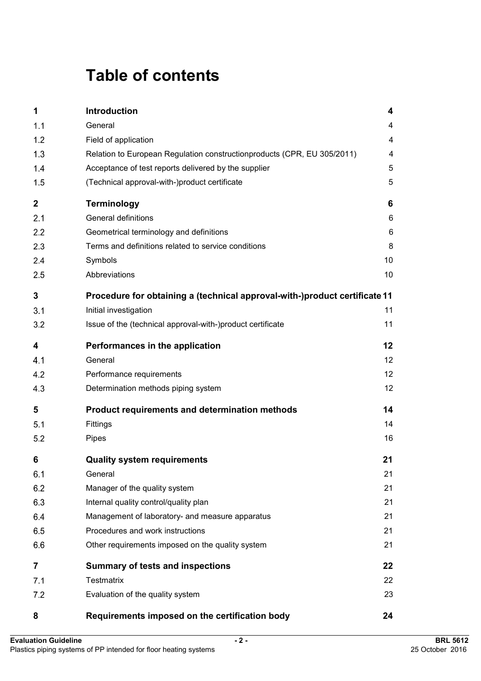# **Table of contents**

| 1                | Introduction                                                               | $\overline{\mathbf{4}}$ |
|------------------|----------------------------------------------------------------------------|-------------------------|
| 1.1              | General                                                                    | 4                       |
| 1.2              | Field of application                                                       | $\overline{4}$          |
| 1.3              | Relation to European Regulation constructionproducts (CPR, EU 305/2011)    | 4                       |
| 1.4              | Acceptance of test reports delivered by the supplier                       | 5                       |
| 1.5              | (Technical approval-with-)product certificate                              | 5                       |
| $\boldsymbol{2}$ | <b>Terminology</b>                                                         | 6                       |
| 2.1              | General definitions                                                        | 6                       |
| 2.2              | Geometrical terminology and definitions                                    | 6                       |
| 2.3              | Terms and definitions related to service conditions                        | 8                       |
| 2.4              | Symbols                                                                    | 10                      |
| 2.5              | Abbreviations                                                              | 10                      |
| 3                | Procedure for obtaining a (technical approval-with-)product certificate 11 |                         |
| 3.1              | Initial investigation                                                      | 11                      |
| 3.2              | Issue of the (technical approval-with-)product certificate                 | 11                      |
| 4                | Performances in the application                                            | 12                      |
| 4.1              | General                                                                    | 12                      |
| 4.2              | Performance requirements                                                   | 12                      |
| 4.3              | Determination methods piping system                                        | 12                      |
| 5                | Product requirements and determination methods                             | 14                      |
| 5.1              | Fittings                                                                   | 14                      |
| 5.2              | Pipes                                                                      | 16                      |
| 6                | <b>Quality system requirements</b>                                         | 21                      |
| 6.1              | General                                                                    | 21                      |
| 6.2              | Manager of the quality system                                              | 21                      |
| 6.3              | Internal quality control/quality plan                                      | 21                      |
| 6.4              | Management of laboratory- and measure apparatus                            | 21                      |
| 6.5              | Procedures and work instructions                                           | 21                      |
| 6.6              | Other requirements imposed on the quality system                           | 21                      |
| 7                | <b>Summary of tests and inspections</b>                                    | 22                      |
| 7.1              | <b>Testmatrix</b>                                                          | 22                      |
| 7.2              | Evaluation of the quality system                                           | 23                      |
| 8                | Requirements imposed on the certification body                             | 24                      |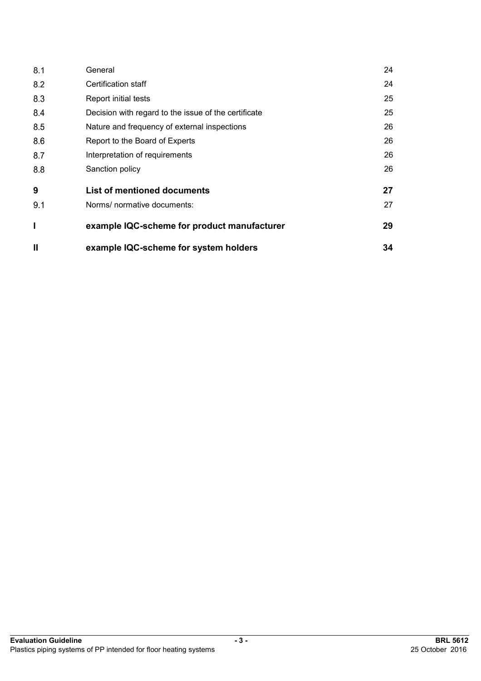| 8.1          | General                                              | 24 |
|--------------|------------------------------------------------------|----|
| 8.2          | Certification staff                                  | 24 |
| 8.3          | Report initial tests                                 | 25 |
| 8.4          | Decision with regard to the issue of the certificate | 25 |
| 8.5          | Nature and frequency of external inspections         | 26 |
| 8.6          | Report to the Board of Experts                       | 26 |
| 8.7          | Interpretation of requirements                       | 26 |
| 8.8          | Sanction policy                                      | 26 |
| 9            | <b>List of mentioned documents</b>                   | 27 |
| 9.1          | Norms/ normative documents:                          | 27 |
| I            | example IQC-scheme for product manufacturer          | 29 |
| $\mathbf{I}$ | example IQC-scheme for system holders                | 34 |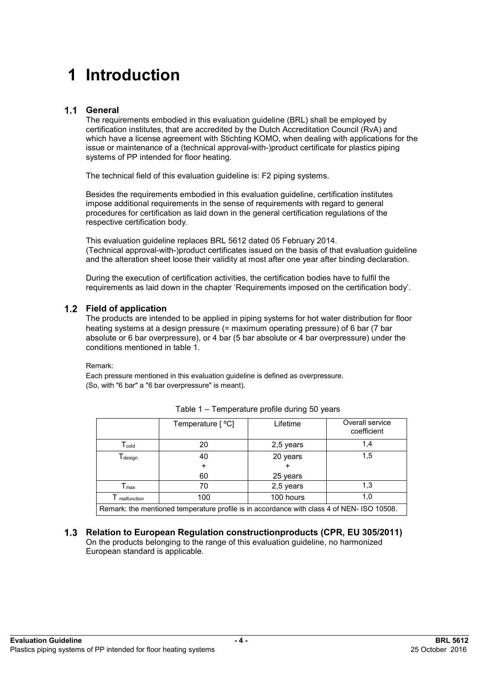# **1 Introduction**

## **General**

The requirements embodied in this evaluation guideline (BRL) shall be employed by certification institutes, that are accredited by the Dutch Accreditation Council (RvA) and which have a license agreement with Stichting KOMO, when dealing with applications for the issue or maintenance of a (technical approval-with-)product certificate for plastics piping systems of PP intended for floor heating.

The technical field of this evaluation guideline is: F2 piping systems.

Besides the requirements embodied in this evaluation guideline, certification institutes impose additional requirements in the sense of requirements with regard to general procedures for certification as laid down in the general certification regulations of the respective certification body.

This evaluation guideline replaces BRL 5612 dated 05 February 2014. (Technical approval-with-)product certificates issued on the basis of that evaluation guideline and the alteration sheet loose their validity at most after one year after binding declaration.

During the execution of certification activities, the certification bodies have to fulfil the requirements as laid down in the chapter 'Requirements imposed on the certification body'.

#### **Field of application**

The products are intended to be applied in piping systems for hot water distribution for floor heating systems at a design pressure (= maximum operating pressure) of 6 bar (7 bar absolute or 6 bar overpressure), or 4 bar (5 bar absolute or 4 bar overpressure) under the conditions mentioned in table 1.

#### Remark:

Each pressure mentioned in this evaluation guideline is defined as overpressure. (So, with "6 bar" a "6 bar overpressure" is meant).

|                                                                                           | Temperature [ °C] | Lifetime  | Overall service<br>coefficient |  |  |
|-------------------------------------------------------------------------------------------|-------------------|-----------|--------------------------------|--|--|
| $\mathsf{T}_{\mathsf{cold}}$                                                              | 20                | 2,5 years | 1,4                            |  |  |
| $\mathsf{T}_{\mathsf{design}}$                                                            | 40                | 20 years  | 1,5                            |  |  |
|                                                                                           |                   |           |                                |  |  |
|                                                                                           | 60                | 25 years  |                                |  |  |
| $\Gamma_{\text{max}}$                                                                     | 70                | 2,5 years | 1,3                            |  |  |
| malfunction                                                                               | 100               | 100 hours | 1.0                            |  |  |
| Remark: the mentioned temperature profile is in accordance with class 4 of NEN-ISO 10508. |                   |           |                                |  |  |

**Relation to European Regulation constructionproducts (CPR, EU 305/2011)**  On the products belonging to the range of this evaluation guideline, no harmonized European standard is applicable.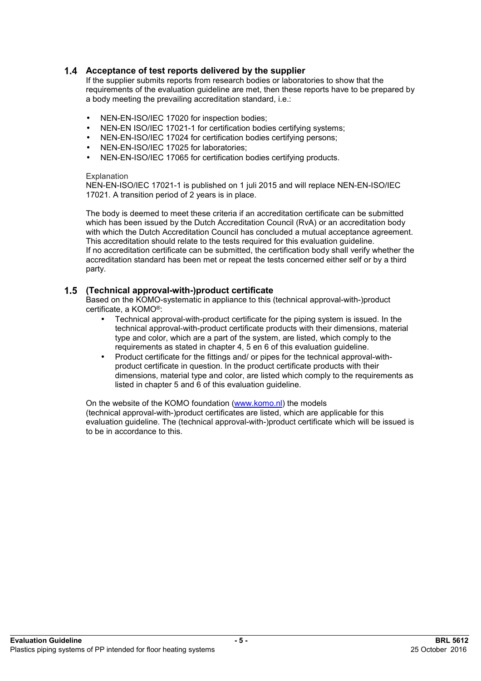### **Acceptance of test reports delivered by the supplier**

If the supplier submits reports from research bodies or laboratories to show that the requirements of the evaluation guideline are met, then these reports have to be prepared by a body meeting the prevailing accreditation standard, i.e.:

- NEN-EN-ISO/IEC 17020 for inspection bodies;
- NEN-EN ISO/IEC 17021-1 for certification bodies certifying systems;
- NEN-EN-ISO/IEC 17024 for certification bodies certifying persons;
- NEN-EN-ISO/IEC 17025 for laboratories;
- NEN-EN-ISO/IEC 17065 for certification bodies certifying products.

#### **Explanation**

NEN-EN-ISO/IEC 17021-1 is published on 1 juli 2015 and will replace NEN-EN-ISO/IEC 17021. A transition period of 2 years is in place.

The body is deemed to meet these criteria if an accreditation certificate can be submitted which has been issued by the Dutch Accreditation Council (RvA) or an accreditation body with which the Dutch Accreditation Council has concluded a mutual acceptance agreement. This accreditation should relate to the tests required for this evaluation guideline. If no accreditation certificate can be submitted, the certification body shall verify whether the accreditation standard has been met or repeat the tests concerned either self or by a third party.

#### **(Technical approval-with-)product certificate**

Based on the KOMO-systematic in appliance to this (technical approval-with-)product certificate, a KOMO®:

- Technical approval-with-product certificate for the piping system is issued. In the technical approval-with-product certificate products with their dimensions, material type and color, which are a part of the system, are listed, which comply to the requirements as stated in chapter 4, 5 en 6 of this evaluation guideline.
- Product certificate for the fittings and/ or pipes for the technical approval-withproduct certificate in question. In the product certificate products with their dimensions, material type and color, are listed which comply to the requirements as listed in chapter 5 and 6 of this evaluation guideline.

On the website of the KOMO foundation ([www.komo.nl](http://www.komo.nl)) the models (technical approval-with-)product certificates are listed, which are applicable for this evaluation quideline. The (technical approval-with-)product certificate which will be issued is to be in accordance to this.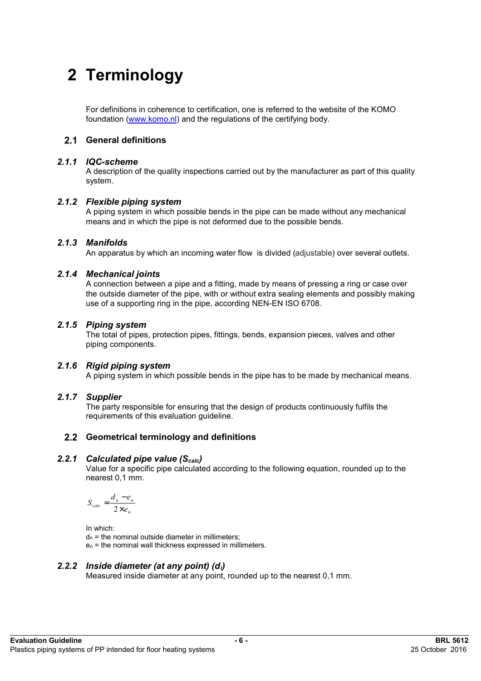# **2 Terminology**

For definitions in coherence to certification, one is referred to the website of the KOMO foundation [\(www.komo.nl\)](http://www.komo.nl) and the regulations of the certifying body.

# **General definitions**

#### *2.1.1 IQC-scheme*

A description of the quality inspections carried out by the manufacturer as part of this quality system.

#### *2.1.2 Flexible piping system*

A piping system in which possible bends in the pipe can be made without any mechanical means and in which the pipe is not deformed due to the possible bends.

#### *2.1.3 Manifolds*

An apparatus by which an incoming water flow is divided (adjustable) over several outlets.

#### *2.1.4 Mechanical joints*

A connection between a pipe and a fitting, made by means of pressing a ring or case over the outside diameter of the pipe, with or without extra sealing elements and possibly making use of a supporting ring in the pipe, according NEN-EN ISO 6708.

### *2.1.5 Piping system*

The total of pipes, protection pipes, fittings, bends, expansion pieces, valves and other piping components.

# *2.1.6 Rigid piping system*

A piping system in which possible bends in the pipe has to be made by mechanical means.

# *2.1.7 Supplier*

The party responsible for ensuring that the design of products continuously fulfils the requirements of this evaluation guideline.

# **Geometrical terminology and definitions**

#### *2.2.1 Calculated pipe value (Scalc)*

Value for a specific pipe calculated according to the following equation, rounded up to the nearest 0,1 mm.

$$
S_{calc} = \frac{d_n - e_n}{2 \times e_n}
$$

In which:

 $d<sub>n</sub>$  = the nominal outside diameter in millimeters;

en = the nominal wall thickness expressed in millimeters.

#### *2.2.2 Inside diameter (at any point) (di)*

Measured inside diameter at any point, rounded up to the nearest 0,1 mm.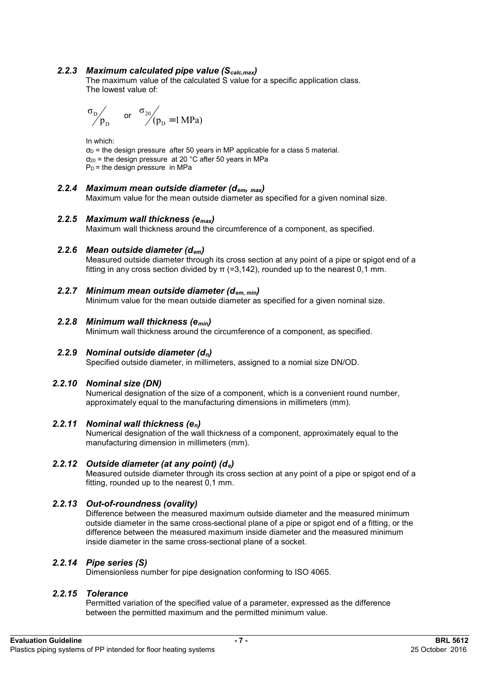### *2.2.3 Maximum calculated pipe value (Scalc,max)*

The maximum value of the calculated S value for a specific application class. The lowest value of:

$$
\sigma_{\rm D}\!\!\!\bigg/_{\begin{matrix}\scriptstyle p_{\rm D}\end{matrix}}\quad\text{ or }\quad \sigma_{\rm 20}\!\!\!\bigg/_{\begin{matrix}\scriptstyle (p_{\rm D}=1\,MPa)\end{matrix}}
$$

In which:

 $\sigma_D$  = the design pressure after 50 years in MP applicable for a class 5 material.  $\sigma_{20}$  = the design pressure at 20 °C after 50 years in MPa  $P_D$  = the design pressure in MPa

# *2.2.4 Maximum mean outside diameter (dem, max)*

Maximum value for the mean outside diameter as specified for a given nominal size.

#### *2.2.5 Maximum wall thickness (emax)*

Maximum wall thickness around the circumference of a component, as specified.

### *2.2.6 Mean outside diameter (dem)*

Measured outside diameter through its cross section at any point of a pipe or spigot end of a fitting in any cross section divided by  $π$  (=3,142), rounded up to the nearest 0.1 mm.

*2.2.7 Minimum mean outside diameter (dem, min)*  Minimum value for the mean outside diameter as specified for a given nominal size.

## *2.2.8 Minimum wall thickness (emin)*

Minimum wall thickness around the circumference of a component, as specified.

# *2.2.9 Nominal outside diameter (dn)*

Specified outside diameter, in millimeters, assigned to a nomial size DN/OD.

#### *2.2.10 Nominal size (DN)*

Numerical designation of the size of a component, which is a convenient round number, approximately equal to the manufacturing dimensions in millimeters (mm).

#### *2.2.11 Nominal wall thickness (en)*

Numerical designation of the wall thickness of a component, approximately equal to the manufacturing dimension in millimeters (mm).

## *2.2.12 Outside diameter (at any point) (de)*

Measured outside diameter through its cross section at any point of a pipe or spigot end of a fitting, rounded up to the nearest 0,1 mm.

# *2.2.13 Out-of-roundness (ovality)*

Difference between the measured maximum outside diameter and the measured minimum outside diameter in the same cross-sectional plane of a pipe or spigot end of a fitting, or the difference between the measured maximum inside diameter and the measured minimum inside diameter in the same cross-sectional plane of a socket.

#### *2.2.14 Pipe series (S)*

Dimensionless number for pipe designation conforming to ISO 4065.

#### *2.2.15 Tolerance*

Permitted variation of the specified value of a parameter, expressed as the difference between the permitted maximum and the permitted minimum value.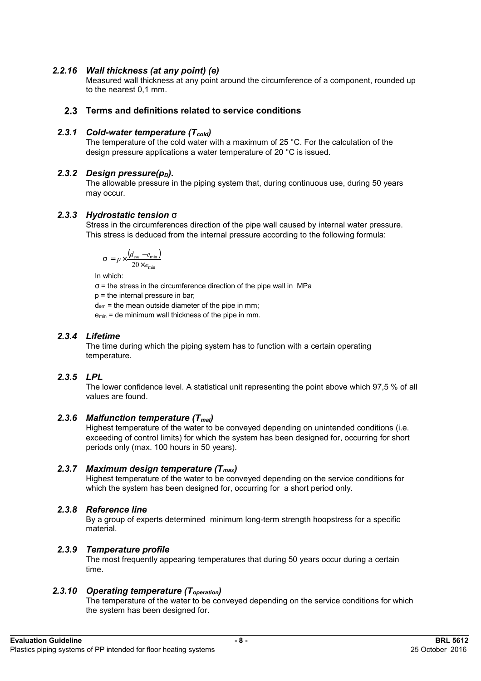### *2.2.16 Wall thickness (at any point) (e)*

Measured wall thickness at any point around the circumference of a component, rounded up to the nearest 0,1 mm.

#### **Terms and definitions related to service conditions**

#### *2.3.1 Cold-water temperature (Tcold)*

The temperature of the cold water with a maximum of 25 °C. For the calculation of the design pressure applications a water temperature of 20 °C is issued.

#### *2.3.2 Design pressure(p<sub>D</sub>).*

The allowable pressure in the piping system that, during continuous use, during 50 years may occur.

#### *2.3.3 Hydrostatic tension s*

Stress in the circumferences direction of the pipe wall caused by internal water pressure. This stress is deduced from the internal pressure according to the following formula:

$$
s = p \times \frac{(d_{em} - e_{\min})}{20 \times e_{\min}}
$$

In which:

 $\sigma$  = the stress in the circumference direction of the pipe wall in MPa

p = the internal pressure in bar;

dem = the mean outside diameter of the pipe in mm;

 $e_{min}$  = de minimum wall thickness of the pipe in mm.

### *2.3.4 Lifetime*

The time during which the piping system has to function with a certain operating temperature.

#### *2.3.5 LPL*

The lower confidence level. A statistical unit representing the point above which 97,5 % of all values are found.

#### *2.3.6 Malfunction temperature (Tmal)*

Highest temperature of the water to be conveyed depending on unintended conditions (i.e. exceeding of control limits) for which the system has been designed for, occurring for short periods only (max. 100 hours in 50 years).

#### *2.3.7 Maximum design temperature (Tmax)*

Highest temperature of the water to be conveyed depending on the service conditions for which the system has been designed for, occurring for a short period only.

#### *2.3.8 Reference line*

By a group of experts determined minimum long-term strength hoopstress for a specific material.

#### *2.3.9 Temperature profile*

The most frequently appearing temperatures that during 50 years occur during a certain time.

#### *2.3.10 Operating temperature (Toperation)*

The temperature of the water to be conveyed depending on the service conditions for which the system has been designed for.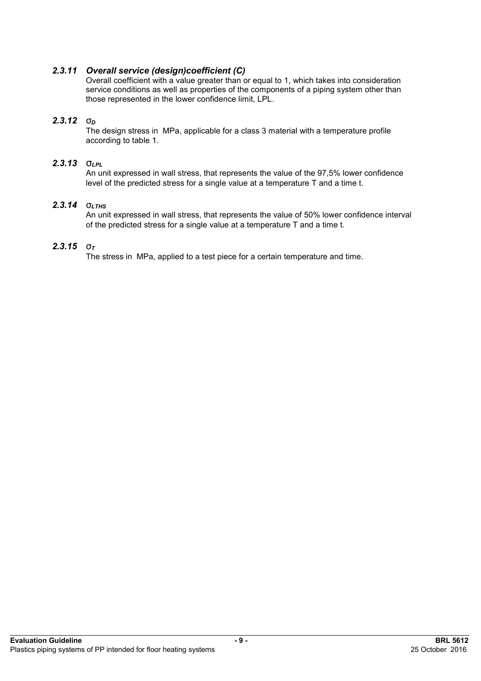### *2.3.11 Overall service (design)coefficient (C)*

Overall coefficient with a value greater than or equal to 1, which takes into consideration service conditions as well as properties of the components of a piping system other than those represented in the lower confidence limit, LPL.

#### *2.3.12 s<sup>D</sup>*

The design stress in MPa, applicable for a class 3 material with a temperature profile according to table 1.

#### *2.3.13 sLPL*

An unit expressed in wall stress, that represents the value of the 97,5% lower confidence level of the predicted stress for a single value at a temperature T and a time t.

# *2.3.14 sLTHS*

An unit expressed in wall stress, that represents the value of 50% lower confidence interval of the predicted stress for a single value at a temperature T and a time t.

# *2.3.15 s<sup>T</sup>*

The stress in MPa, applied to a test piece for a certain temperature and time.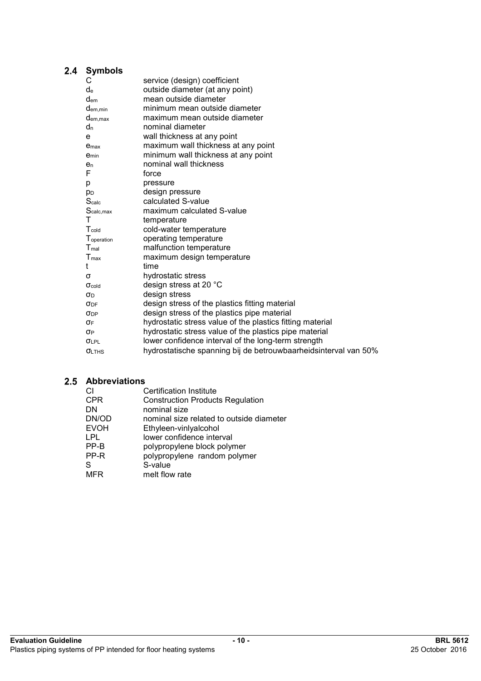# 2.4 Symbols

| С                   | service (design) coefficient                                    |
|---------------------|-----------------------------------------------------------------|
| de                  | outside diameter (at any point)                                 |
| <b>d</b> em         | mean outside diameter                                           |
| $d_{em,min}$        | minimum mean outside diameter                                   |
| $d_{em,max}$        | maximum mean outside diameter                                   |
| $d_n$               | nominal diameter                                                |
| e                   | wall thickness at any point                                     |
| e <sub>max</sub>    | maximum wall thickness at any point                             |
| e <sub>min</sub>    | minimum wall thickness at any point                             |
| $e_n$               | nominal wall thickness                                          |
| F                   | force                                                           |
| р                   | pressure                                                        |
| p <sub>D</sub>      | design pressure                                                 |
| S <sub>calc</sub>   | calculated S-value                                              |
| Scalc, max          | maximum calculated S-value                                      |
| Τ                   | temperature                                                     |
| T <sub>cold</sub>   | cold-water temperature                                          |
| Toperation          | operating temperature                                           |
| T <sub>mal</sub>    | malfunction temperature                                         |
| $T_{\text{max}}$    | maximum design temperature                                      |
| t                   | time                                                            |
| σ                   | hydrostatic stress                                              |
| $\sigma_{\rm cold}$ | design stress at 20 °C                                          |
| σD                  | design stress                                                   |
| $\sigma_{\rm DF}$   | design stress of the plastics fitting material                  |
| <b>ODP</b>          | design stress of the plastics pipe material                     |
| σF                  | hydrostatic stress value of the plastics fitting material       |
| OΡ                  | hydrostatic stress value of the plastics pipe material          |
| <b>OLPL</b>         | lower confidence interval of the long-term strength             |
| <b>OLTHS</b>        | hydrostatische spanning bij de betrouwbaarheidsinterval van 50% |
|                     |                                                                 |

# **Abbreviations**

| CI          | <b>Certification Institute</b>           |
|-------------|------------------------------------------|
| <b>CPR</b>  | <b>Construction Products Regulation</b>  |
| DN          | nominal size                             |
| DN/OD       | nominal size related to outside diameter |
| <b>EVOH</b> | Ethyleen-vinlyalcohol                    |
| LPL         | lower confidence interval                |
| PP-B        | polypropylene block polymer              |
| PP-R        | polypropylene random polymer             |
| S           | S-value                                  |
| MFR         | melt flow rate                           |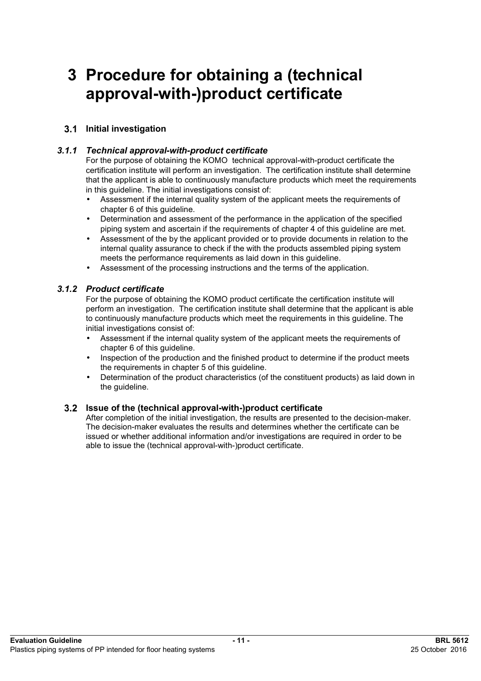# **3 Procedure for obtaining a (technical approval-with-)product certificate**

# **Initial investigation**

## *3.1.1 Technical approval-with-product certificate*

For the purpose of obtaining the KOMO technical approval-with-product certificate the certification institute will perform an investigation. The certification institute shall determine that the applicant is able to continuously manufacture products which meet the requirements in this guideline. The initial investigations consist of:

- Assessment if the internal quality system of the applicant meets the requirements of chapter 6 of this guideline.
- Determination and assessment of the performance in the application of the specified piping system and ascertain if the requirements of chapter 4 of this guideline are met.
- Assessment of the by the applicant provided or to provide documents in relation to the internal quality assurance to check if the with the products assembled piping system meets the performance requirements as laid down in this guideline.
- Assessment of the processing instructions and the terms of the application.

#### *3.1.2 Product certificate*

For the purpose of obtaining the KOMO product certificate the certification institute will perform an investigation. The certification institute shall determine that the applicant is able to continuously manufacture products which meet the requirements in this guideline. The initial investigations consist of:

- Assessment if the internal quality system of the applicant meets the requirements of chapter 6 of this guideline.
- Inspection of the production and the finished product to determine if the product meets the requirements in chapter 5 of this guideline.
- Determination of the product characteristics (of the constituent products) as laid down in the guideline.

#### **Issue of the (technical approval-with-)product certificate**

After completion of the initial investigation, the results are presented to the decision-maker. The decision-maker evaluates the results and determines whether the certificate can be issued or whether additional information and/or investigations are required in order to be able to issue the (technical approval-with-)product certificate.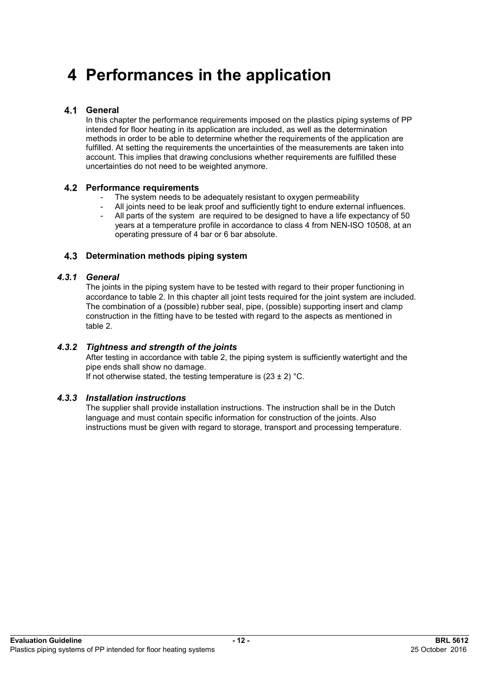# **4 Performances in the application**

### **General**

In this chapter the performance requirements imposed on the plastics piping systems of PP intended for floor heating in its application are included, as well as the determination methods in order to be able to determine whether the requirements of the application are fulfilled. At setting the requirements the uncertainties of the measurements are taken into account. This implies that drawing conclusions whether requirements are fulfilled these uncertainties do not need to be weighted anymore.

#### **Performance requirements**

- The system needs to be adequately resistant to oxygen permeability
- All joints need to be leak proof and sufficiently tight to endure external influences.
- All parts of the system are required to be designed to have a life expectancy of 50 years at a temperature profile in accordance to class 4 from NEN-ISO 10508, at an operating pressure of 4 bar or 6 bar absolute.

#### **Determination methods piping system**

#### *4.3.1 General*

The joints in the piping system have to be tested with regard to their proper functioning in accordance to table 2. In this chapter all joint tests required for the joint system are included. The combination of a (possible) rubber seal, pipe, (possible) supporting insert and clamp construction in the fitting have to be tested with regard to the aspects as mentioned in table 2.

#### *4.3.2 Tightness and strength of the joints*

After testing in accordance with table 2, the piping system is sufficiently watertight and the pipe ends shall show no damage.

If not otherwise stated, the testing temperature is  $(23 \pm 2)$  °C.

#### *4.3.3 Installation instructions*

The supplier shall provide installation instructions. The instruction shall be in the Dutch language and must contain specific information for construction of the joints. Also instructions must be given with regard to storage, transport and processing temperature.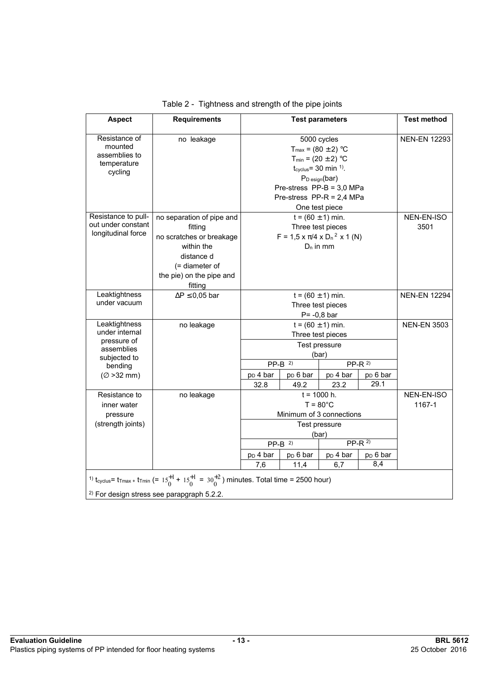| <b>Aspect</b>                                                                                                      | <b>Requirements</b>                                                                                                                                                                                                    |                                                                                                                                                                                                                                                           |  | <b>Test parameters</b> |                     | <b>Test method</b>  |
|--------------------------------------------------------------------------------------------------------------------|------------------------------------------------------------------------------------------------------------------------------------------------------------------------------------------------------------------------|-----------------------------------------------------------------------------------------------------------------------------------------------------------------------------------------------------------------------------------------------------------|--|------------------------|---------------------|---------------------|
| Resistance of<br>mounted<br>assemblies to<br>temperature<br>cycling                                                | no leakage                                                                                                                                                                                                             | 5000 cycles<br>$T_{max}$ = (80 ± 2) °C<br>$T_{min} = (20 \pm 2) °C$<br>$t_{\text{cvelus}}$ = 30 min <sup>1)</sup> .<br>$P_D_{esign}(bar)$<br>Pre-stress $PP-B = 3.0 MPa$<br>Pre-stress $PP-R = 2,4 MPa$<br>One test piece                                 |  |                        |                     | <b>NEN-EN 12293</b> |
| Resistance to pull-<br>out under constant<br>longitudinal force                                                    | no separation of pipe and<br>fitting<br>no scratches or breakage<br>within the<br>distance d<br>(= diameter of<br>the pie) on the pipe and<br>fitting                                                                  | $t = (60 \pm 1)$ min.<br>Three test pieces<br>$F = 1.5 \times \pi/4 \times D_n^2 \times 1$ (N)<br>$D_n$ in mm                                                                                                                                             |  |                        | NEN-EN-ISO<br>3501  |                     |
| Leaktightness<br>under vacuum                                                                                      | $\Delta P \leq 0.05$ bar                                                                                                                                                                                               | $t = (60 \pm 1)$ min.<br>Three test pieces<br>$P = -0,8$ bar                                                                                                                                                                                              |  |                        | <b>NEN-EN 12294</b> |                     |
| Leaktightness<br>under internal<br>pressure of<br>assemblies<br>subjected to<br>bending<br>$(\varnothing > 32$ mm) | no leakage                                                                                                                                                                                                             | $t = (60 \pm 1)$ min.<br>Three test pieces<br>Test pressure<br>(bar)<br>$PP-B$ <sup>2)</sup><br>$PP-R2$<br>p <sub>D</sub> 4 bar<br>$pD 6$ bar<br>p <sub>D</sub> 4 bar<br>p <sub>D</sub> 6 bar<br>29.1<br>32.8<br>49.2<br>23.2                             |  |                        | <b>NEN-EN 3503</b>  |                     |
| Resistance to<br>inner water<br>pressure<br>(strength joints)                                                      | no leakage                                                                                                                                                                                                             | $t = 1000$ h.<br>$T = 80^{\circ}$ C<br>Minimum of 3 connections<br>Test pressure<br>(bar)<br>$PP-R2$<br>$PP-B$ <sup>2)</sup><br>p <sub>D</sub> 6 bar<br>p <sub>D</sub> 6 bar<br>p <sub>D</sub> 4 bar<br>p <sub>D</sub> 4 bar<br>8,4<br>7,6<br>11,4<br>6,7 |  | NEN-EN-ISO<br>1167-1   |                     |                     |
|                                                                                                                    | <sup>1)</sup> t <sub>cyclus</sub> = t <sub>Tmax</sub> + t <sub>Tmin</sub> (= $15^{+1}_{0}$ + $15^{+1}_{0}$ = $30^{+2}_{0}$ ) minutes. Total time = 2500 hour)<br><sup>2)</sup> For design stress see parapgraph 5.2.2. |                                                                                                                                                                                                                                                           |  |                        |                     |                     |

|  | Table 2 - Tightness and strength of the pipe joints |  |  |
|--|-----------------------------------------------------|--|--|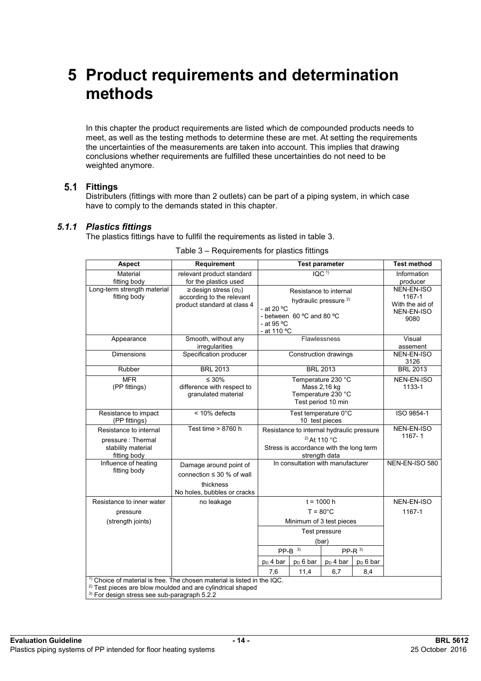# **5 Product requirements and determination methods**

In this chapter the product requirements are listed which de compounded products needs to meet, as well as the testing methods to determine these are met. At setting the requirements the uncertainties of the measurements are taken into account. This implies that drawing conclusions whether requirements are fulfilled these uncertainties do not need to be weighted anymore.

### **Fittings**

Distributers (fittings with more than 2 outlets) can be part of a piping system, in which case have to comply to the demands stated in this chapter.

#### *5.1.1 Plastics fittings*

The plastics fittings have to fullfil the requirements as listed in table 3.

| Aspect                                                                                                                                                                      | Requirement                                                                                          | <b>Test parameter</b>                                                                                                                                                                               |                       |                                                               | <b>Test method</b>      |                    |
|-----------------------------------------------------------------------------------------------------------------------------------------------------------------------------|------------------------------------------------------------------------------------------------------|-----------------------------------------------------------------------------------------------------------------------------------------------------------------------------------------------------|-----------------------|---------------------------------------------------------------|-------------------------|--------------------|
| Material<br>fitting body                                                                                                                                                    | relevant product standard<br>for the plastics used                                                   | IOC <sup>1</sup>                                                                                                                                                                                    |                       |                                                               | Information<br>producer |                    |
| Long-term strength material<br>fitting body                                                                                                                                 | $\ge$ design stress ( $\sigma_{D}$ )<br>according to the relevant<br>product standard at class 4     | Resistance to internal<br>hydraulic pressure <sup>2)</sup><br>- at 20 $°C$<br>- between 60 °C and 80 °C<br>- at 95 °C<br>- at 110 °C                                                                |                       | NEN-EN-ISO<br>1167-1<br>With the aid of<br>NEN-EN-ISO<br>9080 |                         |                    |
| Appearance                                                                                                                                                                  | Smooth, without any<br>irregularities                                                                |                                                                                                                                                                                                     | Flawlessness          |                                                               |                         | Visual<br>assement |
| <b>Dimensions</b>                                                                                                                                                           | Specification producer                                                                               |                                                                                                                                                                                                     | Construction drawings |                                                               |                         | NEN-EN-ISO<br>3126 |
| Rubber                                                                                                                                                                      | <b>BRL 2013</b>                                                                                      |                                                                                                                                                                                                     | <b>BRL 2013</b>       |                                                               |                         | <b>BRL 2013</b>    |
| <b>MFR</b><br>(PP fittings)                                                                                                                                                 | $\leq 30\%$<br>difference with respect to<br>granulated material                                     | Temperature 230 °C<br>Mass 2,16 kg<br>Temperature 230 °C<br>Test period 10 min                                                                                                                      |                       |                                                               | NEN-EN-ISO<br>1133-1    |                    |
| Resistance to impact<br>(PP fittings)                                                                                                                                       | < 10% defects                                                                                        | Test temperature 0°C<br>10 test pieces                                                                                                                                                              |                       |                                                               |                         | ISO 9854-1         |
| Resistance to internal<br>pressure: Thermal<br>stability material<br>fitting body                                                                                           | Test time > 8760 h                                                                                   | Resistance to internal hydraulic pressure<br>$^{2)}$ At 110 °C<br>Stress is accordance with the long term<br>strength data                                                                          |                       |                                                               | NEN-EN-ISO<br>1167-1    |                    |
| Influence of heating<br>fitting body                                                                                                                                        | Damage around point of<br>connection $\leq 30$ % of wall<br>thickness<br>No holes, bubbles or cracks | In consultation with manufacturer                                                                                                                                                                   |                       |                                                               | NEN-EN-ISO 580          |                    |
| Resistance to inner water<br>pressure<br>(strength joints)                                                                                                                  | no leakage                                                                                           | $t = 1000 h$<br>$T = 80^{\circ}$ C<br>Minimum of 3 test pieces<br>Test pressure<br>(bar)<br>$PP-B$ <sup>3)</sup><br>$PP-R$ <sup>3)</sup><br>$pD$ 4 bar<br>$p_D 6$ bar<br>$p_D$ 4 bar<br>$p_D 6$ bar |                       |                                                               | NEN-EN-ISO<br>1167-1    |                    |
| 6,7<br>7,6<br>11,4<br>8,4<br>Choice of material is free. The chosen material is listed in the IQC.<br><sup>2)</sup> Test pieces are blow moulded and are cylindrical shaped |                                                                                                      |                                                                                                                                                                                                     |                       |                                                               |                         |                    |
|                                                                                                                                                                             |                                                                                                      |                                                                                                                                                                                                     |                       |                                                               |                         |                    |

#### Table 3 – Requirements for plastics fittings

 $\frac{3}{5}$  For design stress see sub-paragraph 5.2.2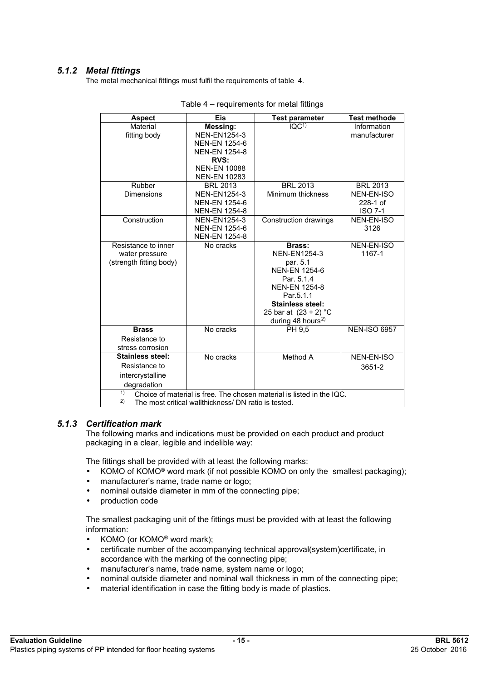# *5.1.2 Metal fittings*

The metal mechanical fittings must fulfil the requirements of table 4.

| <b>Aspect</b>                                                               | <b>Eis</b>           | <b>Test parameter</b>            | <b>Test methode</b> |  |  |  |
|-----------------------------------------------------------------------------|----------------------|----------------------------------|---------------------|--|--|--|
| Material                                                                    | Messing:             | $\overline{IQC}$ <sup>1)</sup>   | Information         |  |  |  |
| fitting body                                                                | <b>NEN-EN1254-3</b>  |                                  | manufacturer        |  |  |  |
|                                                                             | <b>NEN-EN 1254-6</b> |                                  |                     |  |  |  |
|                                                                             | <b>NEN-EN 1254-8</b> |                                  |                     |  |  |  |
|                                                                             | <b>RVS:</b>          |                                  |                     |  |  |  |
|                                                                             | <b>NEN-EN 10088</b>  |                                  |                     |  |  |  |
|                                                                             | <b>NEN-EN 10283</b>  |                                  |                     |  |  |  |
| Rubber                                                                      | <b>BRL 2013</b>      | <b>BRL 2013</b>                  | <b>BRL 2013</b>     |  |  |  |
| <b>Dimensions</b>                                                           | <b>NEN-EN1254-3</b>  | Minimum thickness                | NEN-EN-ISO          |  |  |  |
|                                                                             | <b>NEN-EN 1254-6</b> |                                  | 228-1 of            |  |  |  |
|                                                                             | <b>NEN-EN 1254-8</b> |                                  | <b>ISO 7-1</b>      |  |  |  |
| Construction                                                                | <b>NEN-EN1254-3</b>  | Construction drawings            | NEN-EN-ISO          |  |  |  |
|                                                                             | <b>NEN-EN 1254-6</b> |                                  | 3126                |  |  |  |
|                                                                             | <b>NEN-EN 1254-8</b> |                                  |                     |  |  |  |
| Resistance to inner                                                         | No cracks            | <b>Brass:</b>                    | NEN-EN-ISO          |  |  |  |
| water pressure                                                              |                      | <b>NEN-EN1254-3</b>              | 1167-1              |  |  |  |
| (strength fitting body)                                                     |                      | par. 5.1<br><b>NEN-EN 1254-6</b> |                     |  |  |  |
|                                                                             |                      | Par. 5.1.4                       |                     |  |  |  |
|                                                                             |                      | <b>NEN-EN 1254-8</b>             |                     |  |  |  |
|                                                                             |                      | Par.5.1.1                        |                     |  |  |  |
|                                                                             |                      | <b>Stainless steel:</b>          |                     |  |  |  |
|                                                                             |                      | 25 bar at $(23 + 2) °C$          |                     |  |  |  |
|                                                                             |                      | during 48 hours <sup>2)</sup>    |                     |  |  |  |
| <b>Brass</b>                                                                | No cracks            | PH 9,5                           | <b>NEN-ISO 6957</b> |  |  |  |
| Resistance to                                                               |                      |                                  |                     |  |  |  |
| stress corrosion                                                            |                      |                                  |                     |  |  |  |
| <b>Stainless steel:</b>                                                     | No cracks            | Method A                         | NEN-EN-ISO          |  |  |  |
| Resistance to                                                               |                      |                                  | 3651-2              |  |  |  |
| intercrystalline                                                            |                      |                                  |                     |  |  |  |
| degradation                                                                 |                      |                                  |                     |  |  |  |
| 1)<br>Choice of material is free. The chosen material is listed in the IQC. |                      |                                  |                     |  |  |  |
| 2)<br>The most critical wallthickness/ DN ratio is tested.                  |                      |                                  |                     |  |  |  |

#### *5.1.3 Certification mark*

The following marks and indications must be provided on each product and product packaging in a clear, legible and indelible way:

The fittings shall be provided with at least the following marks:

- KOMO of KOMO<sup>®</sup> word mark (if not possible KOMO on only the smallest packaging);
- manufacturer's name, trade name or logo;
- nominal outside diameter in mm of the connecting pipe;
- production code

The smallest packaging unit of the fittings must be provided with at least the following information:

- KOMO (or KOMO<sup>®</sup> word mark);
- certificate number of the accompanying technical approval(system)certificate, in accordance with the marking of the connecting pipe;
- manufacturer's name, trade name, system name or logo;
- nominal outside diameter and nominal wall thickness in mm of the connecting pipe;
- material identification in case the fitting body is made of plastics.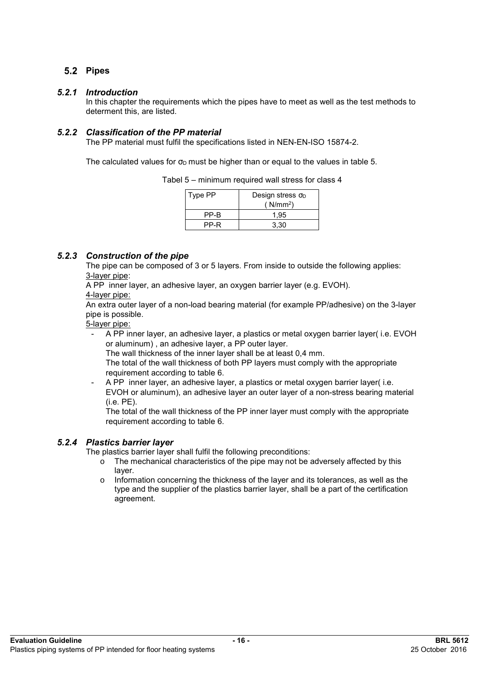# 5.2 Pipes

#### *5.2.1 Introduction*

In this chapter the requirements which the pipes have to meet as well as the test methods to determent this, are listed.

### *5.2.2 Classification of the PP material*

The PP material must fulfil the specifications listed in NEN-EN-ISO 15874-2.

The calculated values for  $\sigma_D$  must be higher than or equal to the values in table 5.

| Tabel 5 – minimum required wall stress for class 4 |  |  |  |
|----------------------------------------------------|--|--|--|
|----------------------------------------------------|--|--|--|

| Type PP | Design stress $\sigma_D$<br>(N/mm <sup>2</sup> ) |
|---------|--------------------------------------------------|
| PP-B    | 1.95                                             |
| PP-R    | 3.30                                             |

# *5.2.3 Construction of the pipe*

The pipe can be composed of 3 or 5 layers. From inside to outside the following applies: 3-layer pipe:

A PP inner layer, an adhesive layer, an oxygen barrier layer (e.g. EVOH). 4-layer pipe:

An extra outer layer of a non-load bearing material (for example PP/adhesive) on the 3-layer pipe is possible.

5-layer pipe:

- A PP inner layer, an adhesive layer, a plastics or metal oxygen barrier layer( i.e. EVOH or aluminum) , an adhesive layer, a PP outer layer.
	- The wall thickness of the inner layer shall be at least 0,4 mm.
	- The total of the wall thickness of both PP layers must comply with the appropriate requirement according to table 6.
- A PP inner layer, an adhesive layer, a plastics or metal oxygen barrier layer(i.e. EVOH or aluminum), an adhesive layer an outer layer of a non-stress bearing material (i.e. PE).

The total of the wall thickness of the PP inner layer must comply with the appropriate requirement according to table 6.

#### *5.2.4 Plastics barrier layer*

The plastics barrier layer shall fulfil the following preconditions:

- o The mechanical characteristics of the pipe may not be adversely affected by this layer.
- $\circ$  Information concerning the thickness of the layer and its tolerances, as well as the type and the supplier of the plastics barrier layer, shall be a part of the certification agreement.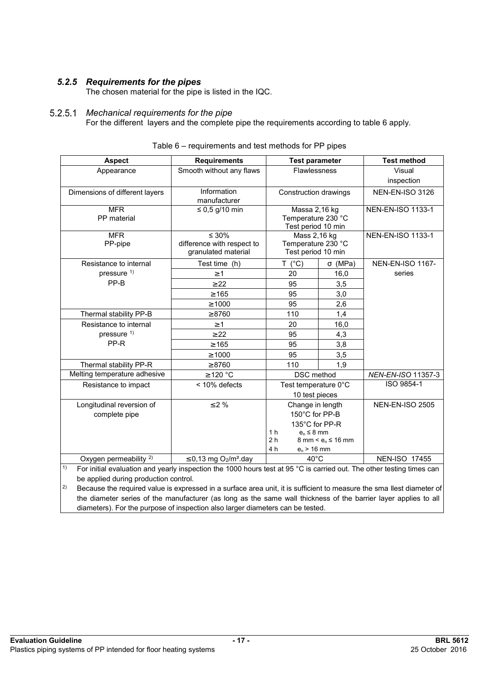# *5.2.5 Requirements for the pipes*

The chosen material for the pipe is listed in the IQC.

#### *Mechanical requirements for the pipe*   $5.2.5.1$

For the different layers and the complete pipe the requirements according to table 6 apply.

| <b>Aspect</b>                     | <b>Requirements</b>                                | <b>Test parameter</b>                               |                                         | <b>Test method</b>       |
|-----------------------------------|----------------------------------------------------|-----------------------------------------------------|-----------------------------------------|--------------------------|
| Appearance                        | Smooth without any flaws                           | <b>Flawlessness</b>                                 |                                         | Visual                   |
|                                   |                                                    |                                                     |                                         | inspection               |
| Dimensions of different layers    | Information                                        | Construction drawings                               |                                         | <b>NEN-EN-ISO 3126</b>   |
|                                   | manufacturer                                       |                                                     |                                         |                          |
| <b>MFR</b>                        | $\leq$ 0,5 g/10 min                                | Massa 2,16 kg                                       |                                         | <b>NEN-EN-ISO 1133-1</b> |
| PP material                       |                                                    | Temperature 230 °C<br>Test period 10 min            |                                         |                          |
| <b>MFR</b>                        | $\leq 30\%$                                        | Mass 2,16 kg                                        |                                         | <b>NEN-EN-ISO 1133-1</b> |
| PP-pipe                           | difference with respect to                         | Temperature 230 °C                                  |                                         |                          |
|                                   | granulated material                                | Test period 10 min                                  |                                         |                          |
| Resistance to internal            | Test time (h)                                      | T.<br>$(^{\circ}C)$                                 | $\sigma$ (MPa)                          | <b>NEN-EN-ISO 1167-</b>  |
| pressure <sup>1)</sup>            | $\geq$ 1                                           | 20                                                  | 16,0                                    | series                   |
| PP-B                              | $\geq 22$                                          | 95                                                  | 3,5                                     |                          |
|                                   | $\geq 165$                                         | 95                                                  | 3,0                                     |                          |
|                                   | $\geq 1000$                                        | 95                                                  | 2,6                                     |                          |
| Thermal stability PP-B            | $\geq 8760$                                        | 110                                                 | 1,4                                     |                          |
| Resistance to internal            | $\geq 1$                                           | 20                                                  | 16,0                                    |                          |
| pressure <sup>1)</sup>            | $\geq$ 22                                          | 95                                                  | 4,3                                     |                          |
| PP-R                              | $\geq 165$                                         | 95                                                  | 3,8                                     |                          |
|                                   | $\geq 1000$                                        | 95                                                  | 3,5                                     |                          |
| Thermal stability PP-R            | $\geq 8760$                                        | 110                                                 | 1,9                                     |                          |
| Melting temperature adhesive      | $\geq$ 120 °C                                      | <b>DSC</b> method                                   |                                         | NEN-EN-ISO 11357-3       |
| Resistance to impact              | < 10% defects                                      | Test temperature 0°C                                |                                         | ISO 9854-1               |
|                                   |                                                    | 10 test pieces                                      |                                         |                          |
| Longitudinal reversion of         | $\leq$ 2 %                                         | Change in length                                    |                                         | <b>NEN-EN-ISO 2505</b>   |
| complete pipe                     |                                                    | 150°C for PP-B                                      |                                         |                          |
|                                   |                                                    | 135°C for PP-R                                      |                                         |                          |
|                                   |                                                    | 1 <sub>h</sub><br>$e_n \leq 8$ mm<br>2 <sub>h</sub> | $8 \text{ mm} < e_n \leq 16 \text{ mm}$ |                          |
|                                   |                                                    | 4 h<br>$e_n > 16$ mm                                |                                         |                          |
| Oxygen permeability <sup>2)</sup> | $\leq$ 0,13 mg O <sub>2</sub> /m <sup>2</sup> .day | $40^{\circ}$ C                                      |                                         | <b>NEN-ISO 17455</b>     |

| Table 6 – requirements and test methods for PP pipes |  |  |  |
|------------------------------------------------------|--|--|--|
|------------------------------------------------------|--|--|--|

<sup>1)</sup> For initial evaluation and yearly inspection the 1000 hours test at 95 °C is carried out. The other testing times can be applied during production control.

 $\vert^{2}$  Because the required value is expressed in a surface area unit, it is sufficient to measure the sma llest diameter of the diameter series of the manufacturer (as long as the same wall thickness of the barrier layer applies to all diameters). For the purpose of inspection also larger diameters can be tested.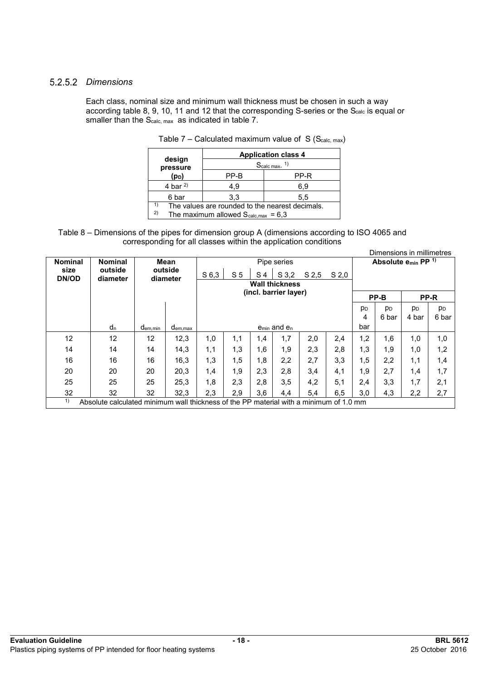### *Dimensions*

Each class, nominal size and minimum wall thickness must be chosen in such a way according table 8, 9, 10, 11 and 12 that the corresponding S-series or the S<sub>calc</sub> is equal or smaller than the S<sub>calc, max</sub> as indicated in table 7.

|                    | <b>Application class 4</b>                      |      |  |  |  |  |  |
|--------------------|-------------------------------------------------|------|--|--|--|--|--|
| design<br>pressure | Scalc max. <sup>1)</sup>                        |      |  |  |  |  |  |
| (p <sub>D</sub> )  | PP-B                                            | PP-R |  |  |  |  |  |
| 4 bar $^{2)}$      | 4.9                                             | 6,9  |  |  |  |  |  |
| 6 bar              | 3.3                                             | 5,5  |  |  |  |  |  |
| 1)                 | The values are rounded to the nearest decimals. |      |  |  |  |  |  |
| 2)                 | The maximum allowed $S_{calc,max} = 6.3$        |      |  |  |  |  |  |
|                    |                                                 |      |  |  |  |  |  |

| Table 7 – Calculated maximum value of $S(Scalc, max)$ |  |  |  |  |  |
|-------------------------------------------------------|--|--|--|--|--|
|-------------------------------------------------------|--|--|--|--|--|

Table 8 – Dimensions of the pipes for dimension group A (dimensions according to ISO 4065 and corresponding for all classes within the application conditions

|                      | Dimensions in millimetres                                                              |                      |                     |                  |                |                |                                     |                  |                  |                              |                |                |                |
|----------------------|----------------------------------------------------------------------------------------|----------------------|---------------------|------------------|----------------|----------------|-------------------------------------|------------------|------------------|------------------------------|----------------|----------------|----------------|
| <b>Nominal</b>       | <b>Nominal</b>                                                                         |                      | Mean                | Pipe series      |                |                |                                     |                  |                  | Absolute $e_{min}$ PP $^{1}$ |                |                |                |
| size<br><b>DN/OD</b> | outside<br>diameter                                                                    |                      | outside<br>diameter | S <sub>6,3</sub> | S <sub>5</sub> | S <sub>4</sub> | S 3.2                               | S <sub>2,5</sub> | S <sub>2,0</sub> |                              |                |                |                |
|                      |                                                                                        |                      |                     |                  |                |                | <b>Wall thickness</b>               |                  |                  |                              |                |                |                |
|                      |                                                                                        |                      |                     |                  |                |                | (incl. barrier layer)               |                  |                  |                              | PP-B           |                | PP-R           |
|                      |                                                                                        |                      |                     |                  |                |                |                                     |                  |                  | p <sub>D</sub>               | p <sub>D</sub> | p <sub>D</sub> | p <sub>D</sub> |
|                      |                                                                                        |                      |                     |                  |                |                |                                     |                  |                  | 4                            | 6 bar          | 4 bar          | 6 bar          |
|                      | $d_n$                                                                                  | d <sub>em, min</sub> | $d_{em,max}$        |                  |                |                | e <sub>min</sub> and e <sub>n</sub> |                  |                  | bar                          |                |                |                |
| 12                   | 12                                                                                     | 12                   | 12,3                | 1,0              | 1,1            | 1,4            | 1,7                                 | 2,0              | 2,4              | 1,2                          | 1,6            | 1,0            | 1,0            |
| 14                   | 14                                                                                     | 14                   | 14,3                | 1,1              | 1,3            | 1,6            | 1,9                                 | 2,3              | 2,8              | 1,3                          | 1,9            | 1,0            | 1,2            |
| 16                   | 16                                                                                     | 16                   | 16,3                | 1,3              | 1,5            | 1,8            | 2,2                                 | 2,7              | 3,3              | 1,5                          | 2,2            | 1,1            | 1,4            |
| 20                   | 20                                                                                     | 20                   | 20,3                | 1,4              | 1.9            | 2,3            | 2,8                                 | 3,4              | 4,1              | 1,9                          | 2,7            | 1,4            | 1,7            |
| 25                   | 25                                                                                     | 25                   | 25,3                | 1,8              | 2,3            | 2,8            | 3,5                                 | 4,2              | 5,1              | 2,4                          | 3,3            | 1,7            | 2,1            |
| 32                   | 32                                                                                     | 32                   | 32,3                | 2,3              | 2,9            | 3,6            | 4,4                                 | 5.4              | 6,5              | 3,0                          | 4,3            | 2,2            | 2,7            |
| 1)                   | Absolute calculated minimum wall thickness of the PP material with a minimum of 1.0 mm |                      |                     |                  |                |                |                                     |                  |                  |                              |                |                |                |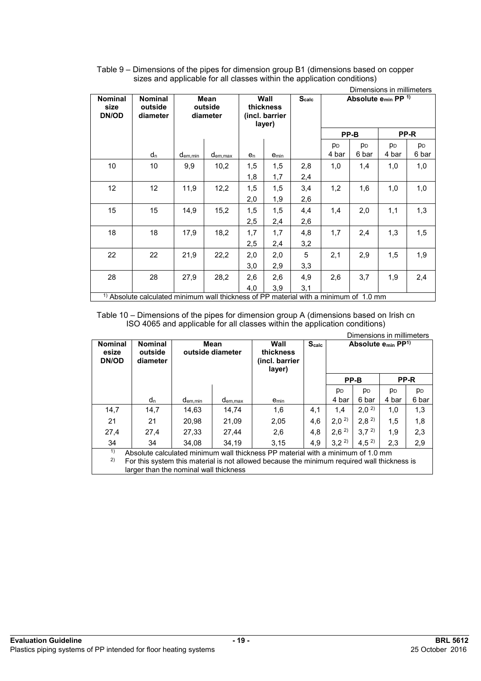|                                 | Dimensions in millimeters                                                              |                             |          |                |                                               |     |                |                                            |                |                |
|---------------------------------|----------------------------------------------------------------------------------------|-----------------------------|----------|----------------|-----------------------------------------------|-----|----------------|--------------------------------------------|----------------|----------------|
| <b>Nominal</b><br>size<br>DN/OD | <b>Nominal</b><br>outside<br>diameter                                                  | Mean<br>outside<br>diameter |          |                | Wall<br>thickness<br>(incl. barrier<br>layer) |     |                | Absolute e <sub>min</sub> PP <sup>1)</sup> |                |                |
|                                 |                                                                                        |                             |          |                |                                               |     |                | PP-B                                       |                | PP-R           |
|                                 |                                                                                        |                             |          |                |                                               |     | p <sub>D</sub> | p <sub>D</sub>                             | p <sub>D</sub> | p <sub>D</sub> |
|                                 | dn                                                                                     | d <sub>em,min</sub>         | dem, max | e <sub>n</sub> | e <sub>min</sub>                              |     | 4 bar          | 6 bar                                      | 4 bar          | 6 bar          |
| 10                              | 10                                                                                     | 9,9                         | 10,2     | 1,5            | 1,5                                           | 2,8 | 1,0            | 1,4                                        | 1,0            | 1,0            |
|                                 |                                                                                        |                             |          | 1,8            | 1,7                                           | 2,4 |                |                                            |                |                |
| 12                              | $12 \,$                                                                                | 11,9                        | 12,2     | 1,5            | 1,5                                           | 3,4 | 1,2            | 1,6                                        | 1,0            | 1,0            |
|                                 |                                                                                        |                             |          | 2,0            | 1,9                                           | 2,6 |                |                                            |                |                |
| 15                              | 15                                                                                     | 14,9                        | 15,2     | 1,5            | 1,5                                           | 4,4 | 1,4            | 2,0                                        | 1,1            | 1,3            |
|                                 |                                                                                        |                             |          | 2,5            | 2,4                                           | 2,6 |                |                                            |                |                |
| 18                              | 18                                                                                     | 17,9                        | 18,2     | 1,7            | 1,7                                           | 4,8 | 1,7            | 2,4                                        | 1,3            | 1,5            |
|                                 |                                                                                        |                             |          | 2,5            | 2,4                                           | 3,2 |                |                                            |                |                |
| 22                              | 22                                                                                     | 21,9                        | 22,2     | 2,0            | 2,0                                           | 5   | 2,1            | 2,9                                        | 1,5            | 1,9            |
|                                 |                                                                                        |                             |          | 3,0            | 2,9                                           | 3,3 |                |                                            |                |                |
| 28                              | 28                                                                                     | 27,9                        | 28,2     | 2,6            | 2,6                                           | 4,9 | 2,6            | 3,7                                        | 1,9            | 2,4            |
|                                 |                                                                                        |                             |          | 4,0            | 3,9                                           | 3,1 |                |                                            |                |                |
|                                 | $1$ Absolute calculated minimum wall thickness of PP material with a minimum of 1.0 mm |                             |          |                |                                               |     |                |                                            |                |                |

Table 9 – Dimensions of the pipes for dimension group B1 (dimensions based on copper sizes and applicable for all classes within the application conditions)

Table 10 – Dimensions of the pipes for dimension group A (dimensions based on Irish cn ISO 4065 and applicable for all classes within the application conditions) Dimensions in millimeters

| <b>DITIERSIONS IN THILITIERS</b> |                                        |                     |                          |                                                                                             |                   |                  |                                     |                |                |
|----------------------------------|----------------------------------------|---------------------|--------------------------|---------------------------------------------------------------------------------------------|-------------------|------------------|-------------------------------------|----------------|----------------|
| <b>Nominal</b><br>esize<br>DN/OD | <b>Nominal</b><br>outside<br>diameter  |                     | Mean<br>outside diameter | Wall<br>thickness<br>(incl. barrier                                                         | S <sub>calc</sub> |                  | Absolute $e_{min}$ PP <sup>1)</sup> |                |                |
|                                  |                                        |                     |                          | layer)                                                                                      |                   |                  |                                     |                |                |
|                                  |                                        |                     |                          |                                                                                             |                   |                  | PP-B                                |                | PP-R           |
|                                  |                                        |                     |                          |                                                                                             |                   | p <sub>D</sub>   | p <sub>D</sub>                      | p <sub>D</sub> | p <sub>D</sub> |
|                                  | d <sub>n</sub>                         | d <sub>em,min</sub> | $d_{em,max}$             | emin                                                                                        |                   | 4 bar            | 6 bar                               | 4 bar          | 6 bar          |
| 14.7                             | 14,7                                   | 14,63               | 14.74                    | 1,6                                                                                         | 4,1               | 1.4              | $2,0^{2}$                           | 1,0            | 1,3            |
| 21                               | 21                                     | 20,98               | 21,09                    | 2,05                                                                                        | 4,6               | 2,0 <sup>2</sup> | 2,8 <sup>2</sup>                    | 1,5            | 1,8            |
| 27,4                             | 27,4                                   | 27,33               | 27,44                    | 2,6                                                                                         | 4,8               | 2,6 <sup>2</sup> | 3.7 <sup>2</sup>                    | 1,9            | 2,3            |
| 34                               | 34                                     | 34.08               | 34.19                    | 3.15                                                                                        | 4.9               | 3,2 <sup>2</sup> | 4,5 <sup>2</sup>                    | 2,3            | 2,9            |
| 1)                               |                                        |                     |                          | Absolute calculated minimum wall thickness PP material with a minimum of 1.0 mm             |                   |                  |                                     |                |                |
| 2)                               |                                        |                     |                          | For this system this material is not allowed because the minimum required wall thickness is |                   |                  |                                     |                |                |
|                                  | larger than the nominal wall thickness |                     |                          |                                                                                             |                   |                  |                                     |                |                |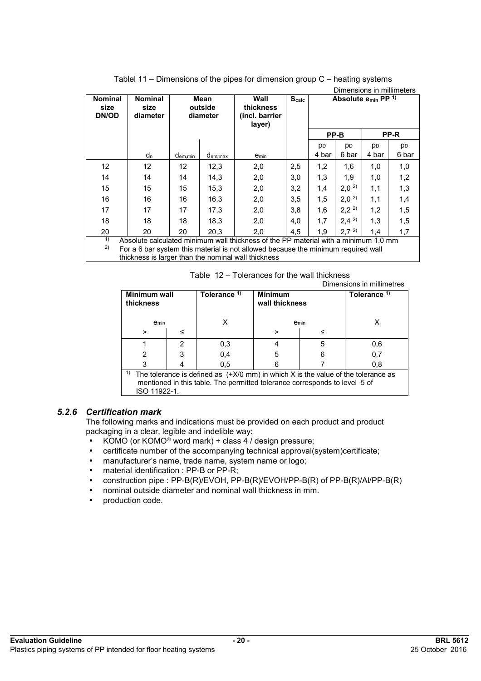| Dimensions in millimeters                                                                                                                                                                                                                   |                                    |                     |                             |                                               |                   |                |                                     |           |                |
|---------------------------------------------------------------------------------------------------------------------------------------------------------------------------------------------------------------------------------------------|------------------------------------|---------------------|-----------------------------|-----------------------------------------------|-------------------|----------------|-------------------------------------|-----------|----------------|
| <b>Nominal</b><br>size<br>DN/OD                                                                                                                                                                                                             | <b>Nominal</b><br>size<br>diameter |                     | Mean<br>outside<br>diameter | Wall<br>thickness<br>(incl. barrier<br>layer) | S <sub>calc</sub> |                | Absolute $e_{min}$ PP <sup>1)</sup> |           |                |
|                                                                                                                                                                                                                                             |                                    |                     |                             |                                               |                   |                | PP-B                                |           | PP-R           |
|                                                                                                                                                                                                                                             |                                    |                     |                             |                                               |                   | p <sub>D</sub> | <b>DD</b>                           | <b>PD</b> | p <sub>D</sub> |
|                                                                                                                                                                                                                                             | d <sub>n</sub>                     | d <sub>em,min</sub> | d <sub>em, max</sub>        | emin                                          |                   | 4 bar          | 6 bar                               | 4 bar     | 6 bar          |
| 12                                                                                                                                                                                                                                          | 12                                 | 12                  | 12,3                        | 2,0                                           | 2,5               | 1,2            | 1,6                                 | 1,0       | 1,0            |
| 14                                                                                                                                                                                                                                          | 14                                 | 14                  | 14,3                        | 2,0                                           | 3,0               | 1,3            | 1,9                                 | 1,0       | 1,2            |
| 15                                                                                                                                                                                                                                          | 15                                 | 15                  | 15,3                        | 2,0                                           | 3,2               | 1,4            | 2,0 <sup>2</sup>                    | 1,1       | 1,3            |
| 16                                                                                                                                                                                                                                          | 16                                 | 16                  | 16,3                        | 2,0                                           | 3,5               | 1,5            | 2,0 <sup>2</sup>                    | 1,1       | 1,4            |
| 17                                                                                                                                                                                                                                          | 17                                 | 17                  | 17,3                        | 2,0                                           | 3,8               | 1,6            | 2,2 <sup>2</sup>                    | 1,2       | 1,5            |
| 18                                                                                                                                                                                                                                          | 18                                 | 18                  | 18,3                        | 2,0                                           | 4,0               | 1,7            | $2,4^{2}$                           | 1,3       | 1,5            |
| 20                                                                                                                                                                                                                                          | 20                                 | 20                  | 20.3                        | 2,0                                           | 4.5               | 1.9            | 2,7 <sup>2</sup>                    | 1.4       | 1,7            |
| 1)<br>Absolute calculated minimum wall thickness of the PP material with a minimum 1.0 mm<br>2)<br>For a 6 bar system this material is not allowed because the minimum required wall<br>thickness is larger than the nominal wall thickness |                                    |                     |                             |                                               |                   |                |                                     |           |                |

| Tablel 11 – Dimensions of the pipes for dimension group $C$ – heating systems |  |
|-------------------------------------------------------------------------------|--|
|-------------------------------------------------------------------------------|--|

Table 12 – Tolerances for the wall thickness

Dimensions in millimetres

|                                                                                                                                                                                         | <b>DIMENSIONS IN MINIMEGRES</b> |                         |                                  |      |                         |  |
|-----------------------------------------------------------------------------------------------------------------------------------------------------------------------------------------|---------------------------------|-------------------------|----------------------------------|------|-------------------------|--|
| <b>Minimum wall</b><br>thickness                                                                                                                                                        |                                 | Tolerance <sup>1)</sup> | <b>Minimum</b><br>wall thickness |      | Tolerance <sup>1)</sup> |  |
| <b>e</b> min                                                                                                                                                                            |                                 |                         |                                  | emin |                         |  |
| >                                                                                                                                                                                       | ≤                               |                         | >                                |      |                         |  |
|                                                                                                                                                                                         | 2                               | 0,3                     |                                  | 5    | 0,6                     |  |
| 2                                                                                                                                                                                       |                                 | 0,4                     | 5                                | 6    | 0,7                     |  |
| 3                                                                                                                                                                                       |                                 | 0.5                     | 6                                |      | 0.8                     |  |
| 1)<br>The tolerance is defined as $(+X/0$ mm) in which X is the value of the tolerance as<br>mentioned in this table. The permitted tolerance corresponds to level 5 of<br>ISO 11922-1. |                                 |                         |                                  |      |                         |  |

#### *5.2.6 Certification mark*

The following marks and indications must be provided on each product and product packaging in a clear, legible and indelible way:

- KOMO (or KOMO<sup>®</sup> word mark) + class 4 / design pressure;
- certificate number of the accompanying technical approval(system)certificate;
- manufacturer's name, trade name, system name or logo;
- material identification : PP-B or PP-R;
- construction pipe : PP-B(R)/EVOH, PP-B(R)/EVOH/PP-B(R) of PP-B(R)/Al/PP-B(R)
- nominal outside diameter and nominal wall thickness in mm.
- production code.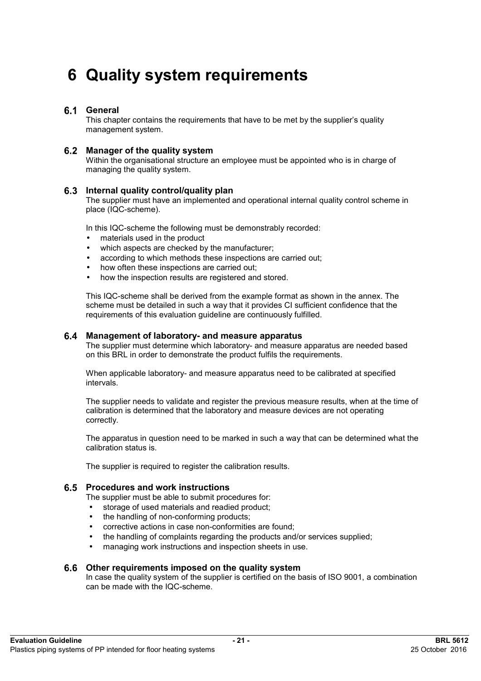# **6 Quality system requirements**

### **General**

This chapter contains the requirements that have to be met by the supplier's quality management system.

#### **Manager of the quality system**

Within the organisational structure an employee must be appointed who is in charge of managing the quality system.

#### **Internal quality control/quality plan**

The supplier must have an implemented and operational internal quality control scheme in place (IQC-scheme).

In this IQC-scheme the following must be demonstrably recorded:

- materials used in the product
- which aspects are checked by the manufacturer;
- according to which methods these inspections are carried out;
- how often these inspections are carried out;
- how the inspection results are registered and stored.

This IQC-scheme shall be derived from the example format as shown in the annex. The scheme must be detailed in such a way that it provides CI sufficient confidence that the requirements of this evaluation guideline are continuously fulfilled.

#### **Management of laboratory- and measure apparatus**

The supplier must determine which laboratory- and measure apparatus are needed based on this BRL in order to demonstrate the product fulfils the requirements.

When applicable laboratory- and measure apparatus need to be calibrated at specified intervals.

The supplier needs to validate and register the previous measure results, when at the time of calibration is determined that the laboratory and measure devices are not operating correctly.

The apparatus in question need to be marked in such a way that can be determined what the calibration status is.

The supplier is required to register the calibration results.

#### **Procedures and work instructions**

The supplier must be able to submit procedures for:

- storage of used materials and readied product;
- the handling of non-conforming products;
- corrective actions in case non-conformities are found;
- the handling of complaints regarding the products and/or services supplied;
- managing work instructions and inspection sheets in use.

#### **Other requirements imposed on the quality system**

In case the quality system of the supplier is certified on the basis of ISO 9001, a combination can be made with the IQC-scheme.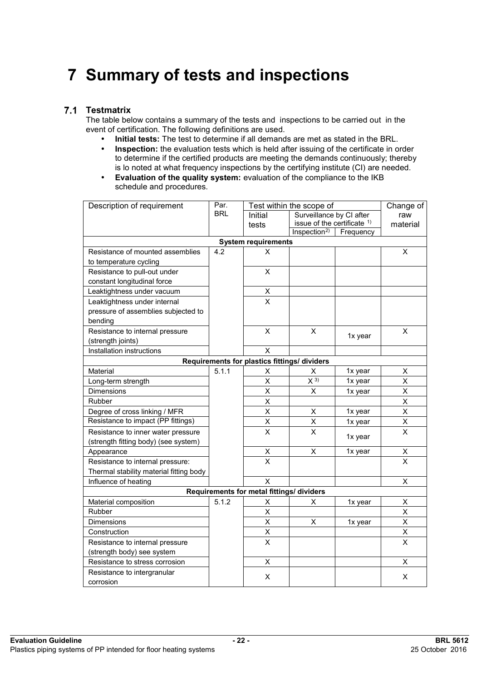# **7 Summary of tests and inspections**

## **Testmatrix**

The table below contains a summary of the tests and inspections to be carried out in the event of certification. The following definitions are used.

- **Initial tests:** The test to determine if all demands are met as stated in the BRL.
- **Inspection:** the evaluation tests which is held after issuing of the certificate in order to determine if the certified products are meeting the demands continuously; thereby is lo noted at what frequency inspections by the certifying institute (CI) are needed.
- **Evaluation of the quality system:** evaluation of the compliance to the IKB schedule and procedures.

| Description of requirement                   | Par.       | Test within the scope of                  | Change of                   |           |                         |  |  |  |  |
|----------------------------------------------|------------|-------------------------------------------|-----------------------------|-----------|-------------------------|--|--|--|--|
|                                              | <b>BRL</b> | Initial                                   | Surveillance by CI after    |           | raw                     |  |  |  |  |
|                                              |            | tests                                     | issue of the certificate 1) |           | material                |  |  |  |  |
|                                              |            |                                           | Inspection <sup>2)</sup>    | Frequency |                         |  |  |  |  |
| <b>System requirements</b>                   |            |                                           |                             |           |                         |  |  |  |  |
| Resistance of mounted assemblies             | 4.2        | X                                         |                             |           | $\mathsf{x}$            |  |  |  |  |
| to temperature cycling                       |            |                                           |                             |           |                         |  |  |  |  |
| Resistance to pull-out under                 |            | X                                         |                             |           |                         |  |  |  |  |
| constant longitudinal force                  |            |                                           |                             |           |                         |  |  |  |  |
| Leaktightness under vacuum                   |            | $\frac{x}{x}$                             |                             |           |                         |  |  |  |  |
| Leaktightness under internal                 |            |                                           |                             |           |                         |  |  |  |  |
| pressure of assemblies subjected to          |            |                                           |                             |           |                         |  |  |  |  |
| bending                                      |            |                                           |                             |           |                         |  |  |  |  |
| Resistance to internal pressure              |            | X                                         | X                           | 1x year   | X                       |  |  |  |  |
| (strength joints)                            |            |                                           |                             |           |                         |  |  |  |  |
| Installation instructions                    |            | X                                         |                             |           |                         |  |  |  |  |
| Requirements for plastics fittings/ dividers |            |                                           |                             |           |                         |  |  |  |  |
| Material                                     | 5.1.1      | X                                         | X                           | 1x year   | Χ                       |  |  |  |  |
| Long-term strength                           |            | $\overline{\mathsf{X}}$                   | $\overline{X}$ 3)           | 1x year   | X                       |  |  |  |  |
| Dimensions                                   |            | $\mathsf{\chi}$                           | X                           | 1x year   | X                       |  |  |  |  |
| Rubber                                       |            | X                                         |                             |           | Χ                       |  |  |  |  |
| Degree of cross linking / MFR                |            | $\sf X$                                   | X                           | 1x year   | X                       |  |  |  |  |
| Resistance to impact (PP fittings)           |            | X                                         | Χ                           | 1x year   | X                       |  |  |  |  |
| Resistance to inner water pressure           |            | $\times$                                  | X                           |           | X                       |  |  |  |  |
| (strength fitting body) (see system)         |            |                                           |                             | 1x year   |                         |  |  |  |  |
| Appearance                                   |            | Χ                                         | X                           | 1x year   | Χ                       |  |  |  |  |
| Resistance to internal pressure:             |            | $\overline{\mathsf{x}}$                   |                             |           | $\overline{\mathsf{x}}$ |  |  |  |  |
| Thermal stability material fitting body      |            |                                           |                             |           |                         |  |  |  |  |
| Influence of heating                         |            | X                                         |                             |           | X                       |  |  |  |  |
|                                              |            | Requirements for metal fittings/ dividers |                             |           |                         |  |  |  |  |
| Material composition                         | 5.1.2      | Χ                                         | X                           | 1x year   | Χ                       |  |  |  |  |
| Rubber                                       |            | $\overline{\mathsf{x}}$                   |                             |           | $\overline{\mathsf{x}}$ |  |  |  |  |
| Dimensions                                   |            | X                                         | X                           | 1x year   | X                       |  |  |  |  |
| Construction                                 |            | X                                         |                             |           | Χ                       |  |  |  |  |
| Resistance to internal pressure              |            | $\overline{\mathsf{x}}$                   |                             |           | $\overline{\mathsf{x}}$ |  |  |  |  |
| (strength body) see system                   |            |                                           |                             |           |                         |  |  |  |  |
| Resistance to stress corrosion               |            | X                                         |                             |           | X                       |  |  |  |  |
| Resistance to intergranular                  |            | X                                         |                             |           | X                       |  |  |  |  |
| corrosion                                    |            |                                           |                             |           |                         |  |  |  |  |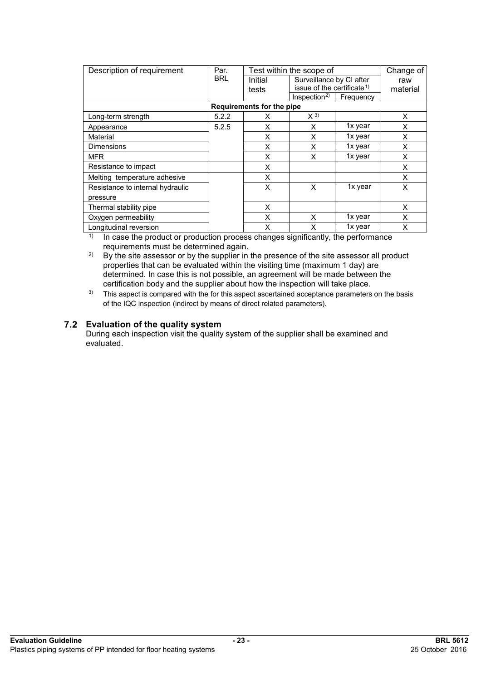| Description of requirement       | Par.       | Test within the scope of  |                                        |           | Change of |
|----------------------------------|------------|---------------------------|----------------------------------------|-----------|-----------|
|                                  | <b>BRL</b> | Initial                   | Surveillance by CI after               |           | raw       |
|                                  |            | tests                     | issue of the certificate <sup>1)</sup> |           | material  |
|                                  |            |                           | Inspection <sup>2</sup>                | Frequency |           |
|                                  |            | Requirements for the pipe |                                        |           |           |
| Long-term strength               | 5.2.2      | X                         | $X^{3}$                                |           | X         |
| Appearance                       | 5.2.5      | X                         | X                                      | 1x year   | X         |
| Material                         |            | X                         | X                                      | 1x year   | $\times$  |
| <b>Dimensions</b>                |            | X                         | X                                      | 1x year   | X         |
| <b>MFR</b>                       |            | X                         | X                                      | 1x year   | X         |
| Resistance to impact             |            | X                         |                                        |           | X         |
| Melting temperature adhesive     |            | X                         |                                        |           | X         |
| Resistance to internal hydraulic |            | X                         | X                                      | 1x year   | X         |
| pressure                         |            |                           |                                        |           |           |
| Thermal stability pipe           |            | X                         |                                        |           | X         |
| Oxygen permeability              |            | X                         | X                                      | 1x year   | X         |
| Longitudinal reversion           |            | X                         | X                                      | 1x year   | X         |

<sup>1)</sup> In case the product or production process changes significantly, the performance requirements must be determined again.

<sup>2)</sup> By the site assessor or by the supplier in the presence of the site assessor all product properties that can be evaluated within the visiting time (maximum 1 day) are determined. In case this is not possible, an agreement will be made between the certification body and the supplier about how the inspection will take place.

<sup>3)</sup> This aspect is compared with the for this aspect ascertained acceptance parameters on the basis of the IQC inspection (indirect by means of direct related parameters).

### **Evaluation of the quality system**

During each inspection visit the quality system of the supplier shall be examined and evaluated.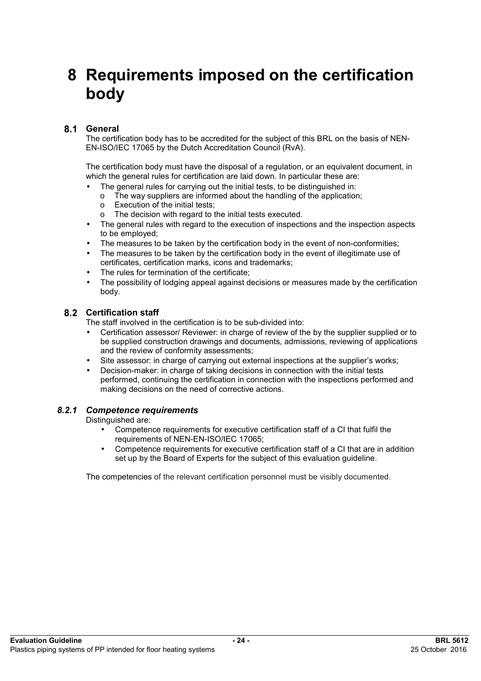# **8 Requirements imposed on the certification body**

# **General**

The certification body has to be accredited for the subject of this BRL on the basis of NEN-EN-ISO/IEC 17065 by the Dutch Accreditation Council (RvA).

The certification body must have the disposal of a regulation, or an equivalent document, in which the general rules for certification are laid down. In particular these are:

- The general rules for carrying out the initial tests, to be distinguished in:
	- o The way suppliers are informed about the handling of the application;
	- o Execution of the initial tests;
	- o The decision with regard to the initial tests executed.
- The general rules with regard to the execution of inspections and the inspection aspects to be employed;
- The measures to be taken by the certification body in the event of non-conformities;
- The measures to be taken by the certification body in the event of illegitimate use of certificates, certification marks, icons and trademarks;
- The rules for termination of the certificate:
- The possibility of lodging appeal against decisions or measures made by the certification body.

# **Certification staff**

The staff involved in the certification is to be sub-divided into:

- Certification assessor/ Reviewer: in charge of review of the by the supplier supplied or to be supplied construction drawings and documents, admissions, reviewing of applications and the review of conformity assessments;
- Site assessor: in charge of carrying out external inspections at the supplier's works;
- Decision-maker: in charge of taking decisions in connection with the initial tests performed, continuing the certification in connection with the inspections performed and making decisions on the need of corrective actions.

# *8.2.1 Competence requirements*

Distinguished are:

- Competence requirements for executive certification staff of a CI that fulfil the requirements of NEN-EN-ISO/IEC 17065;
- Competence requirements for executive certification staff of a CI that are in addition set up by the Board of Experts for the subject of this evaluation guideline.

The competencies of the relevant certification personnel must be visibly documented.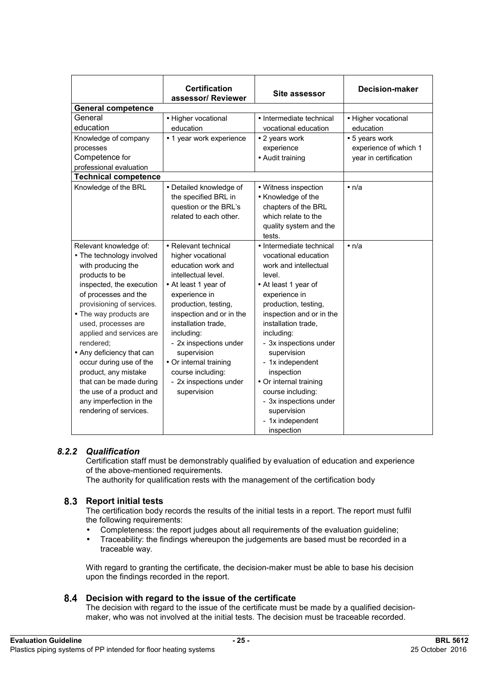|                             | <b>Certification</b><br>assessor/ Reviewer | <b>Site assessor</b>     | <b>Decision-maker</b> |
|-----------------------------|--------------------------------------------|--------------------------|-----------------------|
| <b>General competence</b>   |                                            |                          |                       |
| General                     | • Higher vocational                        | • Intermediate technical | • Higher vocational   |
| education                   | education                                  | vocational education     | education             |
| Knowledge of company        | • 1 year work experience                   | • 2 years work           | • 5 years work        |
| processes                   |                                            | experience               | experience of which 1 |
| Competence for              |                                            | • Audit training         | year in certification |
| professional evaluation     |                                            |                          |                       |
| <b>Technical competence</b> |                                            |                          |                       |
| Knowledge of the BRL        | • Detailed knowledge of                    | • Witness inspection     | $\bullet$ n/a         |
|                             | the specified BRL in                       | • Knowledge of the       |                       |
|                             | question or the BRL's                      | chapters of the BRL      |                       |
|                             | related to each other.                     | which relate to the      |                       |
|                             |                                            | quality system and the   |                       |
|                             |                                            | tests.                   |                       |
| Relevant knowledge of:      | • Relevant technical                       | • Intermediate technical | $\bullet$ n/a         |
| • The technology involved   | higher vocational                          | vocational education     |                       |
| with producing the          | education work and                         | work and intellectual    |                       |
| products to be              | intellectual level.                        | level.                   |                       |
| inspected, the execution    | • At least 1 year of                       | • At least 1 year of     |                       |
| of processes and the        | experience in                              | experience in            |                       |
| provisioning of services.   | production, testing,                       | production, testing,     |                       |
| • The way products are      | inspection and or in the                   | inspection and or in the |                       |
| used, processes are         | installation trade,                        | installation trade,      |                       |
| applied and services are    | including:                                 | including:               |                       |
| rendered:                   | - 2x inspections under                     | - 3x inspections under   |                       |
| • Any deficiency that can   | supervision                                | supervision              |                       |
| occur during use of the     | • Or internal training                     | - 1x independent         |                       |
| product, any mistake        | course including:                          | inspection               |                       |
| that can be made during     | - 2x inspections under                     | • Or internal training   |                       |
| the use of a product and    | supervision                                | course including:        |                       |
| any imperfection in the     |                                            | - 3x inspections under   |                       |
| rendering of services.      |                                            | supervision              |                       |
|                             |                                            | - 1x independent         |                       |
|                             |                                            | inspection               |                       |

# *8.2.2 Qualification*

Certification staff must be demonstrably qualified by evaluation of education and experience of the above-mentioned requirements.

The authority for qualification rests with the management of the certification body

#### **Report initial tests**

The certification body records the results of the initial tests in a report. The report must fulfil the following requirements:

- Completeness: the report judges about all requirements of the evaluation guideline;
- Traceability: the findings whereupon the judgements are based must be recorded in a traceable way.

With regard to granting the certificate, the decision-maker must be able to base his decision upon the findings recorded in the report.

#### **Decision with regard to the issue of the certificate**

The decision with regard to the issue of the certificate must be made by a qualified decisionmaker, who was not involved at the initial tests. The decision must be traceable recorded.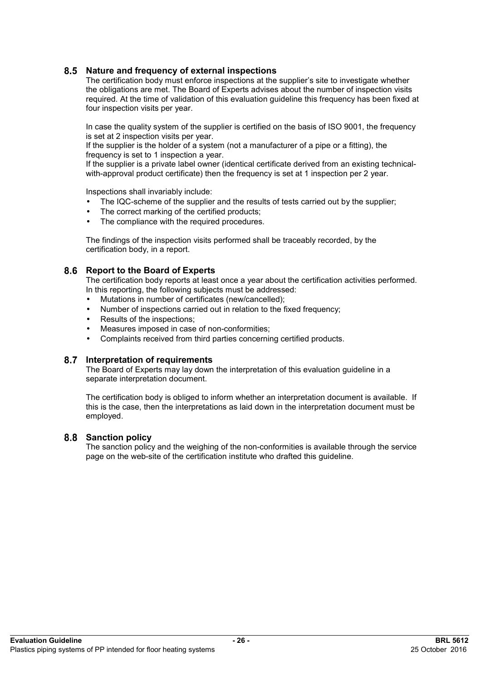### **Nature and frequency of external inspections**

The certification body must enforce inspections at the supplier's site to investigate whether the obligations are met. The Board of Experts advises about the number of inspection visits required. At the time of validation of this evaluation guideline this frequency has been fixed at four inspection visits per year.

In case the quality system of the supplier is certified on the basis of ISO 9001, the frequency is set at 2 inspection visits per year.

If the supplier is the holder of a system (not a manufacturer of a pipe or a fitting), the frequency is set to 1 inspection a year.

If the supplier is a private label owner (identical certificate derived from an existing technicalwith-approval product certificate) then the frequency is set at 1 inspection per 2 year.

Inspections shall invariably include:

- The IQC-scheme of the supplier and the results of tests carried out by the supplier:
- The correct marking of the certified products;
- The compliance with the required procedures.

The findings of the inspection visits performed shall be traceably recorded, by the certification body, in a report.

#### **Report to the Board of Experts**

The certification body reports at least once a year about the certification activities performed. In this reporting, the following subjects must be addressed:

- Mutations in number of certificates (new/cancelled);
- Number of inspections carried out in relation to the fixed frequency;
- Results of the inspections;
- Measures imposed in case of non-conformities;
- Complaints received from third parties concerning certified products.

#### **Interpretation of requirements**

The Board of Experts may lay down the interpretation of this evaluation guideline in a separate interpretation document.

The certification body is obliged to inform whether an interpretation document is available. If this is the case, then the interpretations as laid down in the interpretation document must be employed.

#### **Sanction policy**

The sanction policy and the weighing of the non-conformities is available through the service page on the web-site of the certification institute who drafted this guideline.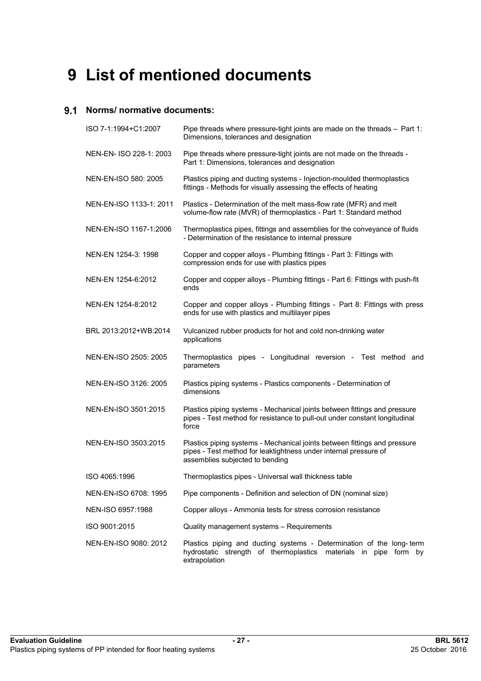# **9 List of mentioned documents**

## **Norms/ normative documents:**

| ISO 7-1:1994+C1:2007    | Pipe threads where pressure-tight joints are made on the threads - Part 1:<br>Dimensions, tolerances and designation                                                             |
|-------------------------|----------------------------------------------------------------------------------------------------------------------------------------------------------------------------------|
| NEN-EN- ISO 228-1: 2003 | Pipe threads where pressure-tight joints are not made on the threads -<br>Part 1: Dimensions, tolerances and designation                                                         |
| NEN-EN-ISO 580: 2005    | Plastics piping and ducting systems - Injection-moulded thermoplastics<br>fittings - Methods for visually assessing the effects of heating                                       |
| NEN-EN-ISO 1133-1: 2011 | Plastics - Determination of the melt mass-flow rate (MFR) and melt<br>volume-flow rate (MVR) of thermoplastics - Part 1: Standard method                                         |
| NEN-EN-ISO 1167-1:2006  | Thermoplastics pipes, fittings and assemblies for the conveyance of fluids<br>- Determination of the resistance to internal pressure                                             |
| NEN-EN 1254-3: 1998     | Copper and copper alloys - Plumbing fittings - Part 3: Fittings with<br>compression ends for use with plastics pipes                                                             |
| NEN-EN 1254-6:2012      | Copper and copper alloys - Plumbing fittings - Part 6: Fittings with push-fit<br>ends                                                                                            |
| NEN-EN 1254-8:2012      | Copper and copper alloys - Plumbing fittings - Part 8: Fittings with press<br>ends for use with plastics and multilayer pipes                                                    |
| BRL 2013:2012+WB:2014   | Vulcanized rubber products for hot and cold non-drinking water<br>applications                                                                                                   |
| NEN-EN-ISO 2505: 2005   | Thermoplastics pipes - Longitudinal reversion - Test method and<br>parameters                                                                                                    |
| NEN-EN-ISO 3126: 2005   | Plastics piping systems - Plastics components - Determination of<br>dimensions                                                                                                   |
| NEN-EN-ISO 3501:2015    | Plastics piping systems - Mechanical joints between fittings and pressure<br>pipes - Test method for resistance to pull-out under constant longitudinal<br>force                 |
| NEN-EN-ISO 3503:2015    | Plastics piping systems - Mechanical joints between fittings and pressure<br>pipes - Test method for leaktightness under internal pressure of<br>assemblies subjected to bending |
| ISO 4065:1996           | Thermoplastics pipes - Universal wall thickness table                                                                                                                            |
| NEN-EN-ISO 6708: 1995   | Pipe components - Definition and selection of DN (nominal size)                                                                                                                  |
| NEN-ISO 6957:1988       | Copper alloys - Ammonia tests for stress corrosion resistance                                                                                                                    |
| ISO 9001:2015           | Quality management systems - Requirements                                                                                                                                        |
| NEN-EN-ISO 9080: 2012   | Plastics piping and ducting systems - Determination of the long-term<br>hydrostatic strength of thermoplastics materials in pipe form by<br>extrapolation                        |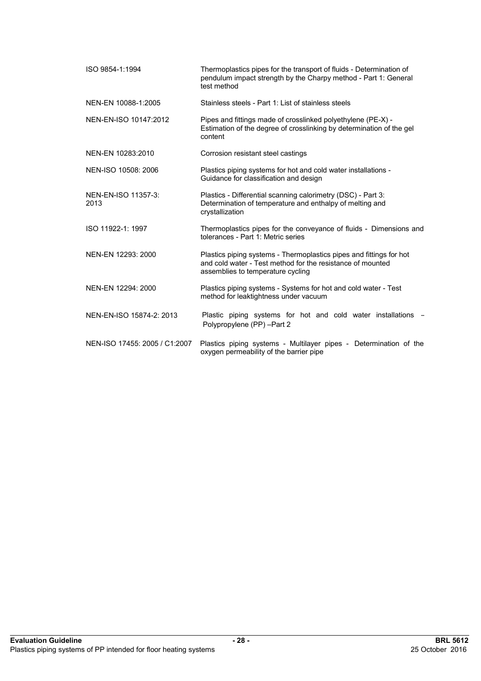| ISO 9854-1:1994               | Thermoplastics pipes for the transport of fluids - Determination of<br>pendulum impact strength by the Charpy method - Part 1: General<br>test method                  |  |  |  |
|-------------------------------|------------------------------------------------------------------------------------------------------------------------------------------------------------------------|--|--|--|
| NEN-EN 10088-1:2005           | Stainless steels - Part 1: List of stainless steels                                                                                                                    |  |  |  |
| NEN-EN-ISO 10147:2012         | Pipes and fittings made of crosslinked polyethylene (PE-X) -<br>Estimation of the degree of crosslinking by determination of the gel<br>content                        |  |  |  |
| NEN-EN 10283:2010             | Corrosion resistant steel castings                                                                                                                                     |  |  |  |
| NEN-ISO 10508: 2006           | Plastics piping systems for hot and cold water installations -<br>Guidance for classification and design                                                               |  |  |  |
| NEN-EN-ISO 11357-3:<br>2013   | Plastics - Differential scanning calorimetry (DSC) - Part 3:<br>Determination of temperature and enthalpy of melting and<br>crystallization                            |  |  |  |
| ISO 11922-1: 1997             | Thermoplastics pipes for the conveyance of fluids - Dimensions and<br>tolerances - Part 1: Metric series                                                               |  |  |  |
| NEN-EN 12293: 2000            | Plastics piping systems - Thermoplastics pipes and fittings for hot<br>and cold water - Test method for the resistance of mounted<br>assemblies to temperature cycling |  |  |  |
| NEN-EN 12294: 2000            | Plastics piping systems - Systems for hot and cold water - Test<br>method for leaktightness under vacuum                                                               |  |  |  |
| NEN-EN-ISO 15874-2: 2013      | Plastic piping systems for hot and cold water installations<br>Polypropylene (PP) -Part 2                                                                              |  |  |  |
| NEN-ISO 17455: 2005 / C1:2007 | Plastics piping systems - Multilayer pipes - Determination of the<br>oxygen permeability of the barrier pipe                                                           |  |  |  |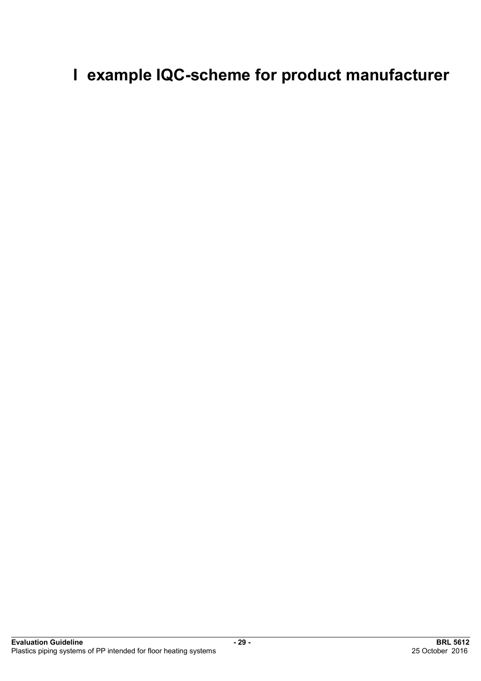# **I example IQC-scheme for product manufacturer**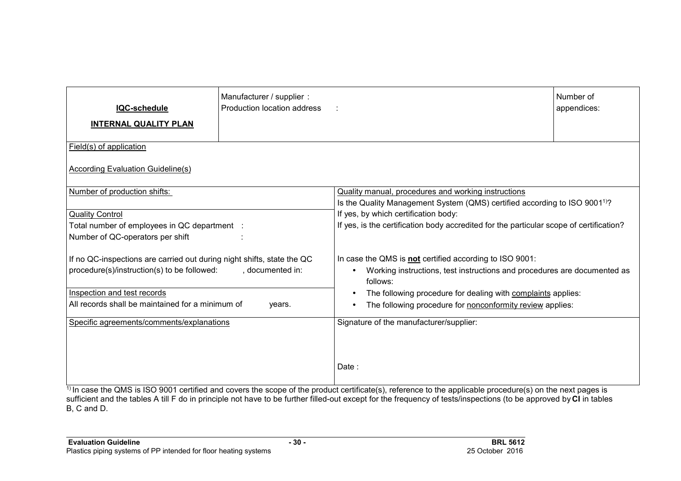| <b>IQC-schedule</b><br><b>INTERNAL QUALITY PLAN</b>                              | Manufacturer / supplier :<br>Production location address                                                                                      |                                                                                      | Number of<br>appendices: |  |  |  |
|----------------------------------------------------------------------------------|-----------------------------------------------------------------------------------------------------------------------------------------------|--------------------------------------------------------------------------------------|--------------------------|--|--|--|
| Field(s) of application                                                          |                                                                                                                                               |                                                                                      |                          |  |  |  |
| According Evaluation Guideline(s)                                                |                                                                                                                                               |                                                                                      |                          |  |  |  |
| Number of production shifts:                                                     | Quality manual, procedures and working instructions<br>Is the Quality Management System (QMS) certified according to ISO 9001 <sup>1)</sup> ? |                                                                                      |                          |  |  |  |
| <b>Quality Control</b>                                                           |                                                                                                                                               | If yes, by which certification body:                                                 |                          |  |  |  |
| Total number of employees in QC department :<br>Number of QC-operators per shift | If yes, is the certification body accredited for the particular scope of certification?                                                       |                                                                                      |                          |  |  |  |
| If no QC-inspections are carried out during night shifts, state the QC           |                                                                                                                                               | In case the QMS is not certified according to ISO 9001:                              |                          |  |  |  |
| procedure(s)/instruction(s) to be followed:                                      | , documented in:                                                                                                                              | Working instructions, test instructions and procedures are documented as<br>follows: |                          |  |  |  |
| Inspection and test records                                                      |                                                                                                                                               | The following procedure for dealing with complaints applies:<br>$\bullet$            |                          |  |  |  |
| All records shall be maintained for a minimum of                                 | years.                                                                                                                                        | The following procedure for nonconformity review applies:                            |                          |  |  |  |
| Specific agreements/comments/explanations                                        |                                                                                                                                               | Signature of the manufacturer/supplier:                                              |                          |  |  |  |
|                                                                                  |                                                                                                                                               | Date:                                                                                |                          |  |  |  |

<sup>1)</sup> In case the QMS is ISO 9001 certified and covers the scope of the product certificate(s), reference to the applicable procedure(s) on the next pages is sufficient and the tables A till F do in principle not have to be further filled-out except for the frequency of tests/inspections (to be approved by **CI** in tables B, C and D.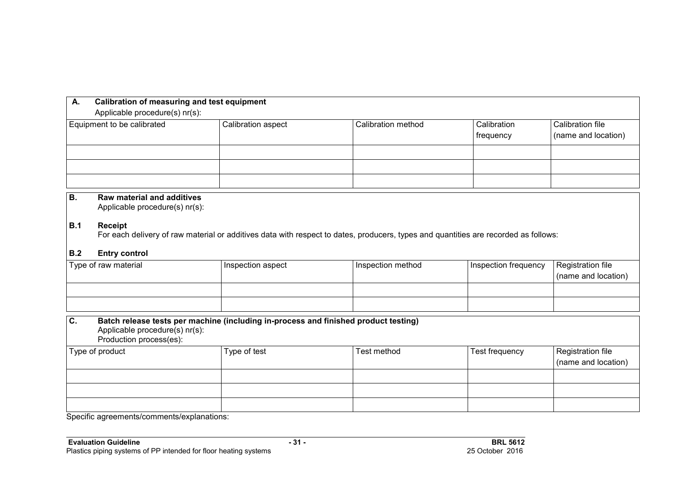| А.<br>Applicable procedure(s) nr(s): | Calibration of measuring and test equipment |                    |                                 |                                         |  |  |
|--------------------------------------|---------------------------------------------|--------------------|---------------------------------|-----------------------------------------|--|--|
| Equipment to be calibrated           | Calibration aspect                          | Calibration method | Calibration<br><b>frequency</b> | Calibration file<br>(name and location) |  |  |
|                                      |                                             |                    |                                 |                                         |  |  |
|                                      |                                             |                    |                                 |                                         |  |  |
|                                      |                                             |                    |                                 |                                         |  |  |

# **B. Raw material and additives**

Applicable procedure(s) nr(s):

#### **B.1 Receipt**

For each delivery of raw material or additives data with respect to dates, producers, types and quantities are recorded as follows:

### **B.2 Entry control**

| Type of raw material | Inspection aspect | Inspection method | Inspection frequency | Registration file<br>(name and location) |
|----------------------|-------------------|-------------------|----------------------|------------------------------------------|
|                      |                   |                   |                      |                                          |
|                      |                   |                   |                      |                                          |

| Batch release tests per machine (including in-process and finished product testing)<br>$ {\bf C} $<br>Applicable procedure(s) nr(s):<br>Production process(es): |              |             |                |                     |  |  |
|-----------------------------------------------------------------------------------------------------------------------------------------------------------------|--------------|-------------|----------------|---------------------|--|--|
| Type of product                                                                                                                                                 | Type of test | Test method | Test frequency | Registration file   |  |  |
|                                                                                                                                                                 |              |             |                | (name and location) |  |  |
|                                                                                                                                                                 |              |             |                |                     |  |  |
|                                                                                                                                                                 |              |             |                |                     |  |  |
|                                                                                                                                                                 |              |             |                |                     |  |  |

Specific agreements/comments/explanations: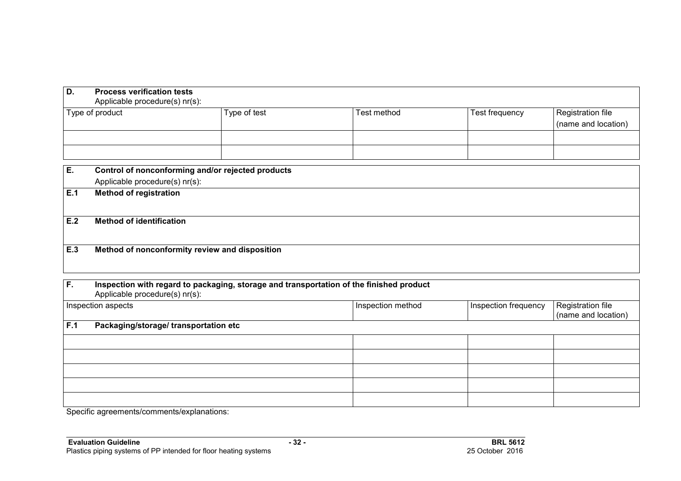| D.  | <b>Process verification tests</b><br>Applicable procedure(s) nr(s):                 |              |             |                |                                          |  |  |  |
|-----|-------------------------------------------------------------------------------------|--------------|-------------|----------------|------------------------------------------|--|--|--|
|     | Type of product                                                                     | Type of test | Test method | Test frequency | Registration file<br>(name and location) |  |  |  |
| Е.  | Control of nonconforming and/or rejected products<br>Applicable procedure(s) nr(s): |              |             |                |                                          |  |  |  |
| E.1 | <b>Method of registration</b>                                                       |              |             |                |                                          |  |  |  |
| E.2 | <b>Method of identification</b>                                                     |              |             |                |                                          |  |  |  |
| E.3 | Method of nonconformity review and disposition                                      |              |             |                |                                          |  |  |  |
|     |                                                                                     |              |             |                |                                          |  |  |  |

| IF.                | Inspection with regard to packaging, storage and transportation of the finished product<br>Applicable procedure(s) nr(s): |                   |                      |                                          |  |  |
|--------------------|---------------------------------------------------------------------------------------------------------------------------|-------------------|----------------------|------------------------------------------|--|--|
| Inspection aspects |                                                                                                                           | Inspection method | Inspection frequency | Registration file<br>(name and location) |  |  |
| F.1                | Packaging/storage/ transportation etc                                                                                     |                   |                      |                                          |  |  |
|                    |                                                                                                                           |                   |                      |                                          |  |  |
|                    |                                                                                                                           |                   |                      |                                          |  |  |
|                    |                                                                                                                           |                   |                      |                                          |  |  |
|                    |                                                                                                                           |                   |                      |                                          |  |  |
|                    |                                                                                                                           |                   |                      |                                          |  |  |

Specific agreements/comments/explanations: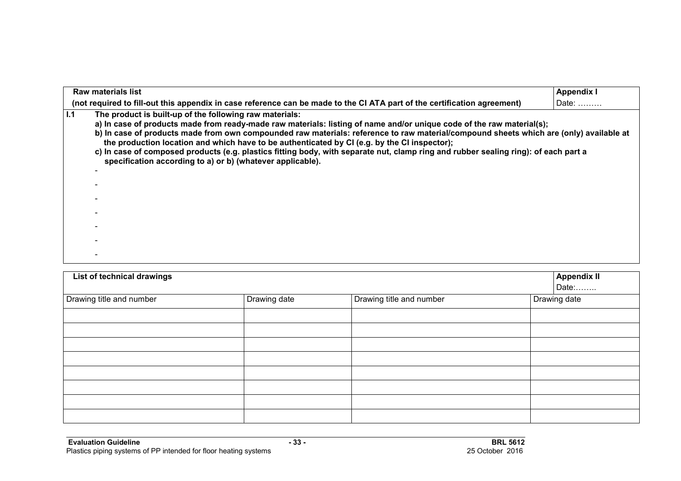|     | <b>Raw materials list</b>                                                                                                                                                                                                                                                                                                                                                                                                                                                                                                                                                                                                       | <b>Appendix I</b> |
|-----|---------------------------------------------------------------------------------------------------------------------------------------------------------------------------------------------------------------------------------------------------------------------------------------------------------------------------------------------------------------------------------------------------------------------------------------------------------------------------------------------------------------------------------------------------------------------------------------------------------------------------------|-------------------|
|     | (not required to fill-out this appendix in case reference can be made to the CI ATA part of the certification agreement)                                                                                                                                                                                                                                                                                                                                                                                                                                                                                                        | Date:             |
| 1.1 | The product is built-up of the following raw materials:<br>a) In case of products made from ready-made raw materials: listing of name and/or unique code of the raw material(s);<br>b) In case of products made from own compounded raw materials: reference to raw material/compound sheets which are (only) available at<br>the production location and which have to be authenticated by CI (e.g. by the CI inspector);<br>c) In case of composed products (e.g. plastics fitting body, with separate nut, clamp ring and rubber sealing ring): of each part a<br>specification according to a) or b) (whatever applicable). |                   |
|     |                                                                                                                                                                                                                                                                                                                                                                                                                                                                                                                                                                                                                                 |                   |
|     |                                                                                                                                                                                                                                                                                                                                                                                                                                                                                                                                                                                                                                 |                   |
|     |                                                                                                                                                                                                                                                                                                                                                                                                                                                                                                                                                                                                                                 |                   |
|     |                                                                                                                                                                                                                                                                                                                                                                                                                                                                                                                                                                                                                                 |                   |
|     |                                                                                                                                                                                                                                                                                                                                                                                                                                                                                                                                                                                                                                 |                   |
|     |                                                                                                                                                                                                                                                                                                                                                                                                                                                                                                                                                                                                                                 |                   |
|     |                                                                                                                                                                                                                                                                                                                                                                                                                                                                                                                                                                                                                                 |                   |

| List of technical drawings |              |                          | <b>Appendix II</b><br>Date: |
|----------------------------|--------------|--------------------------|-----------------------------|
| Drawing title and number   | Drawing date | Drawing title and number | Drawing date                |
|                            |              |                          |                             |
|                            |              |                          |                             |
|                            |              |                          |                             |
|                            |              |                          |                             |
|                            |              |                          |                             |
|                            |              |                          |                             |
|                            |              |                          |                             |
|                            |              |                          |                             |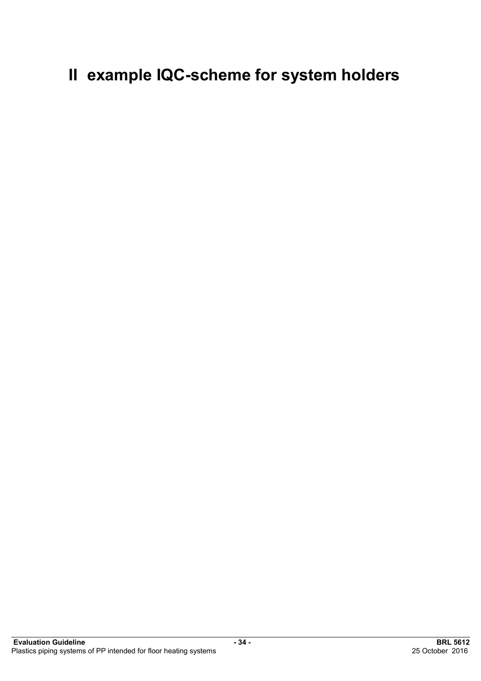# **II example IQC-scheme for system holders**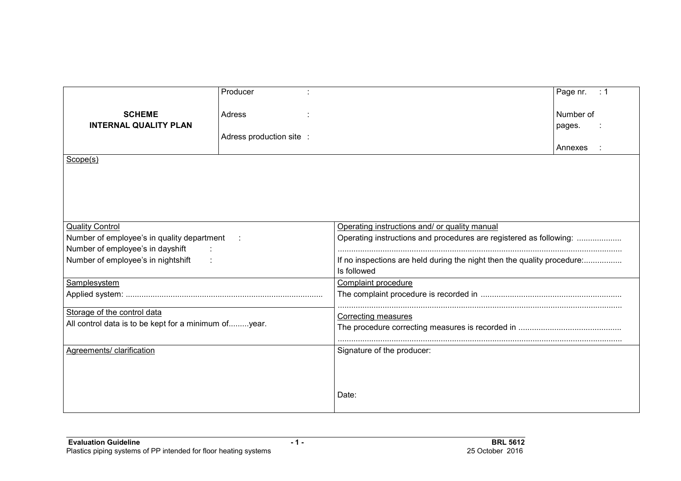|                                                      | Producer                 |                                                                         | Page nr.<br>$\therefore$ 1 |  |
|------------------------------------------------------|--------------------------|-------------------------------------------------------------------------|----------------------------|--|
| <b>SCHEME</b>                                        | Adress                   |                                                                         | Number of                  |  |
| <b>INTERNAL QUALITY PLAN</b>                         |                          |                                                                         | pages.                     |  |
|                                                      | Adress production site : |                                                                         |                            |  |
|                                                      |                          |                                                                         | Annexes                    |  |
| Scope(s)                                             |                          |                                                                         |                            |  |
|                                                      |                          |                                                                         |                            |  |
|                                                      |                          |                                                                         |                            |  |
|                                                      |                          |                                                                         |                            |  |
|                                                      |                          |                                                                         |                            |  |
|                                                      |                          |                                                                         |                            |  |
| <b>Quality Control</b>                               |                          | Operating instructions and/ or quality manual                           |                            |  |
| Number of employee's in quality department :         |                          | Operating instructions and procedures are registered as following:      |                            |  |
| Number of employee's in dayshift<br>$\sim$ 1.        |                          |                                                                         |                            |  |
| Number of employee's in nightshift                   |                          | If no inspections are held during the night then the quality procedure: |                            |  |
|                                                      |                          | Is followed                                                             |                            |  |
| Samplesystem                                         |                          | Complaint procedure                                                     |                            |  |
|                                                      |                          |                                                                         |                            |  |
|                                                      |                          |                                                                         |                            |  |
| Storage of the control data                          |                          | <b>Correcting measures</b>                                              |                            |  |
| All control data is to be kept for a minimum ofyear. |                          |                                                                         |                            |  |
|                                                      |                          |                                                                         |                            |  |
| Agreements/ clarification                            |                          | Signature of the producer:                                              |                            |  |
|                                                      |                          |                                                                         |                            |  |
|                                                      |                          |                                                                         |                            |  |
|                                                      |                          |                                                                         |                            |  |
|                                                      |                          | Date:                                                                   |                            |  |
|                                                      |                          |                                                                         |                            |  |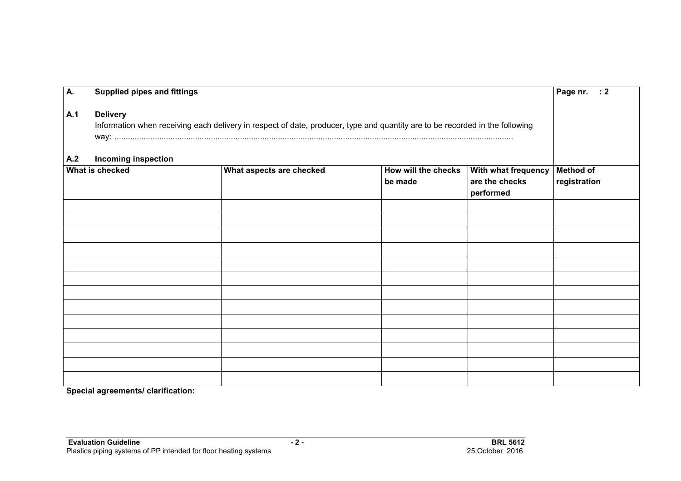| A.  | <b>Supplied pipes and fittings</b>                                                                                                              |                          |                                | Page nr. : 2                                       |                                  |
|-----|-------------------------------------------------------------------------------------------------------------------------------------------------|--------------------------|--------------------------------|----------------------------------------------------|----------------------------------|
| A.1 | <b>Delivery</b><br>Information when receiving each delivery in respect of date, producer, type and quantity are to be recorded in the following |                          |                                |                                                    |                                  |
| A.2 | <b>Incoming inspection</b><br>What is checked                                                                                                   | What aspects are checked | How will the checks<br>be made | With what frequency<br>are the checks<br>performed | <b>Method of</b><br>registration |
|     |                                                                                                                                                 |                          |                                |                                                    |                                  |
|     |                                                                                                                                                 |                          |                                |                                                    |                                  |
|     |                                                                                                                                                 |                          |                                |                                                    |                                  |
|     |                                                                                                                                                 |                          |                                |                                                    |                                  |
|     |                                                                                                                                                 |                          |                                |                                                    |                                  |
|     |                                                                                                                                                 |                          |                                |                                                    |                                  |
|     |                                                                                                                                                 |                          |                                |                                                    |                                  |
|     |                                                                                                                                                 |                          |                                |                                                    |                                  |
|     |                                                                                                                                                 |                          |                                |                                                    |                                  |
|     |                                                                                                                                                 |                          |                                |                                                    |                                  |
|     |                                                                                                                                                 |                          |                                |                                                    |                                  |
|     |                                                                                                                                                 |                          |                                |                                                    |                                  |
|     |                                                                                                                                                 |                          |                                |                                                    |                                  |

**Special agreements/ clarification:**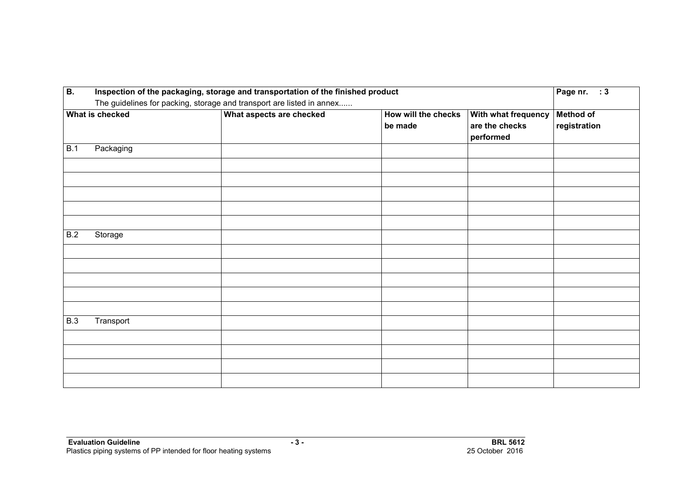| $\overline{B}$ . |                                                                       | Inspection of the packaging, storage and transportation of the finished product | Page nr. : 3                   |                                                    |                                  |
|------------------|-----------------------------------------------------------------------|---------------------------------------------------------------------------------|--------------------------------|----------------------------------------------------|----------------------------------|
|                  | The guidelines for packing, storage and transport are listed in annex |                                                                                 |                                |                                                    |                                  |
|                  | What is checked                                                       | What aspects are checked                                                        | How will the checks<br>be made | With what frequency<br>are the checks<br>performed | <b>Method of</b><br>registration |
| B.1              | Packaging                                                             |                                                                                 |                                |                                                    |                                  |
|                  |                                                                       |                                                                                 |                                |                                                    |                                  |
|                  |                                                                       |                                                                                 |                                |                                                    |                                  |
|                  |                                                                       |                                                                                 |                                |                                                    |                                  |
|                  |                                                                       |                                                                                 |                                |                                                    |                                  |
|                  |                                                                       |                                                                                 |                                |                                                    |                                  |
| B.2              | Storage                                                               |                                                                                 |                                |                                                    |                                  |
|                  |                                                                       |                                                                                 |                                |                                                    |                                  |
|                  |                                                                       |                                                                                 |                                |                                                    |                                  |
|                  |                                                                       |                                                                                 |                                |                                                    |                                  |
|                  |                                                                       |                                                                                 |                                |                                                    |                                  |
|                  |                                                                       |                                                                                 |                                |                                                    |                                  |
| <b>B.3</b>       | Transport                                                             |                                                                                 |                                |                                                    |                                  |
|                  |                                                                       |                                                                                 |                                |                                                    |                                  |
|                  |                                                                       |                                                                                 |                                |                                                    |                                  |
|                  |                                                                       |                                                                                 |                                |                                                    |                                  |
|                  |                                                                       |                                                                                 |                                |                                                    |                                  |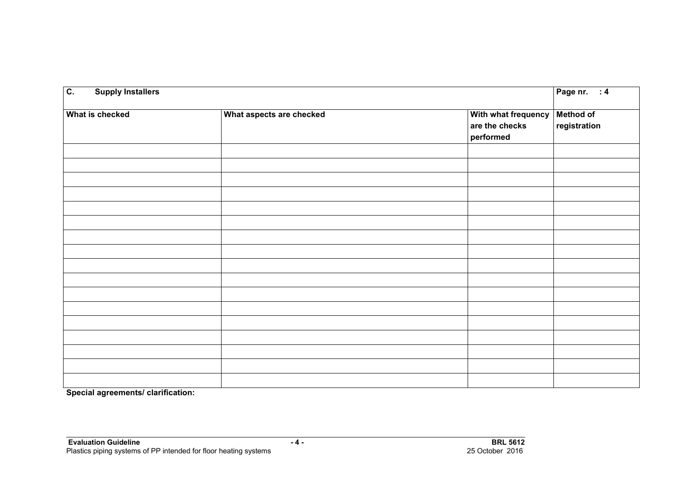| $\overline{c}$ .<br><b>Supply Installers</b> |                          |                                                    | Page nr. : 4              |
|----------------------------------------------|--------------------------|----------------------------------------------------|---------------------------|
| What is checked                              | What aspects are checked | With what frequency<br>are the checks<br>performed | Method of<br>registration |
|                                              |                          |                                                    |                           |
|                                              |                          |                                                    |                           |
|                                              |                          |                                                    |                           |
|                                              |                          |                                                    |                           |
|                                              |                          |                                                    |                           |
|                                              |                          |                                                    |                           |
|                                              |                          |                                                    |                           |
|                                              |                          |                                                    |                           |
|                                              |                          |                                                    |                           |
|                                              |                          |                                                    |                           |
|                                              |                          |                                                    |                           |
|                                              |                          |                                                    |                           |
|                                              |                          |                                                    |                           |
|                                              |                          |                                                    |                           |

**Special agreements/ clarification:**